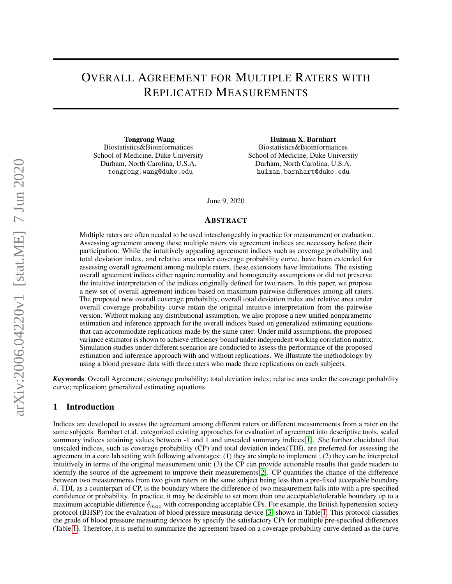## OVERALL AGREEMENT FOR MULTIPLE RATERS WITH REPLICATED MEASUREMENTS

Tongrong Wang Biostatistics&Bioinformatices School of Medicine, Duke University Durham, North Carolina, U.S.A. tongrong.wang@duke.edu

Huiman X. Barnhart Biostatistics&Bioinformatices School of Medicine, Duke University Durham, North Carolina, U.S.A. huiman.barnhart@duke.edu

June 9, 2020

#### **ABSTRACT**

Multiple raters are often needed to be used interchangeably in practice for measurement or evaluation. Assessing agreement among these multiple raters via agreement indices are necessary before their participation. While the intuitively appealing agreement indices such as coverage probability and total deviation index, and relative area under coverage probability curve, have been extended for assessing overall agreement among multiple raters, these extensions have limitations. The existing overall agreement indices either require normality and homogeneity assumptions or did not preserve the intuitive interpretation of the indices originally defined for two raters. In this paper, we propose a new set of overall agreement indices based on maximum pairwise differences among all raters. The proposed new overall coverage probability, overall total deviation index and relative area under overall coverage probability curve retain the original intuitive interpretation from the pairwise version. Without making any distributional assumption, we also propose a new unified nonparametric estimation and inference approach for the overall indices based on generalized estimating equations that can accommodate replications made by the same rater. Under mild assumptions, the proposed variance estimator is shown to achieve efficiency bound under independent working correlation matrix. Simulation studies under different scenarios are conducted to assess the performance of the proposed estimation and inference approach with and without replications. We illustrate the methodology by using a blood pressure data with three raters who made three replications on each subjects.

*K*eywords Overall Agreement; coverage probability; total deviation index; relative area under the coverage probability curve; replication; generalized estimating equations

#### 1 Introduction

Indices are developed to assess the agreement among different raters or different measurements from a rater on the same subjects. Barnhart et al. categorized existing approaches for evaluation of agreement into descriptive tools, scaled summary indices attaining values between -1 and 1 and unscaled summary indices[\[1\]](#page-12-0). She further elucidated that unscaled indices, such as coverage probability (CP) and total deviation index(TDI), are preferred for assessing the agreement in a core lab setting with following advantages: (1) they are simple to implement ; (2) they can be interpreted intuitively in terms of the original measurement unit; (3) the CP can provide actionable results that guide readers to identify the source of the agreement to improve their measurements[\[2\]](#page-12-1). CP quantifies the chance of the difference between two measurements from two given raters on the same subject being less than a pre-fixed acceptable boundary δ. TDI, as a counterpart of CP, is the boundary where the difference of two measurement falls into with a pre-specified confidence or probability. In practice, it may be desirable to set more than one acceptable/tolerable boundary up to a maximum acceptable difference  $\delta_{max}$  with corresponding acceptable CPs. For example, the British hypertension society protocol (BHSP) for the evaluation of blood pressure measuring device [\[3\]](#page-12-2) shown in Table [1.](#page-1-0) This protocol classifies the grade of blood pressure measuring devices by specify the satisfactory CPs for multiple pre-specified differences (Table [1\)](#page-1-0). Therefore, it is useful to summarize the agreement based on a coverage probability curve defined as the curve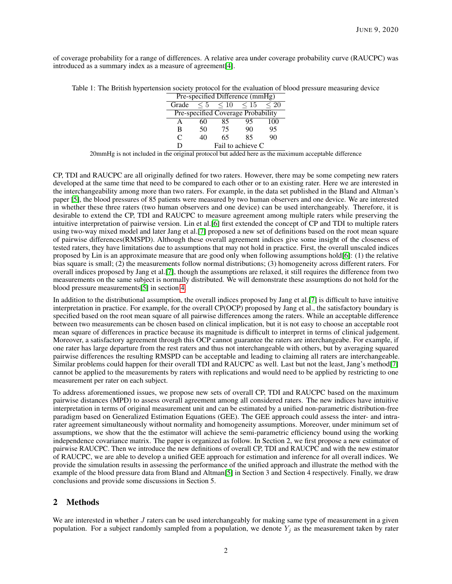<span id="page-1-0"></span>of coverage probability for a range of differences. A relative area under coverage probability curve (RAUCPC) was introduced as a summary index as a measure of agreement[\[4\]](#page-12-3).

|  |  | Table 1: The British hypertension society protocol for the evaluation of blood pressure measuring device |  |  |
|--|--|----------------------------------------------------------------------------------------------------------|--|--|
|  |  |                                                                                                          |  |  |

|       |          |           | Pre-specified Difference (mmHg)    |           |
|-------|----------|-----------|------------------------------------|-----------|
| Grade | $\leq 5$ | $\leq 10$ | $\leq 15$                          | $\leq 20$ |
|       |          |           | Pre-specified Coverage Probability |           |
| А     | 60       | 85        | 95                                 | 100       |
| B     | 50       | 75        | 90                                 | 95        |
| C     | 40       | 65        | 85                                 | 90        |
|       |          |           | Fail to achieve C                  |           |

20mmHg is not included in the original protocol but added here as the maximum acceptable difference

CP, TDI and RAUCPC are all originally defined for two raters. However, there may be some competing new raters developed at the same time that need to be compared to each other or to an existing rater. Here we are interested in the interchangeability among more than two raters. For example, in the data set published in the Bland and Altman's paper [\[5\]](#page-12-4), the blood pressures of 85 patients were measured by two human observers and one device. We are interested in whether these three raters (two human observers and one device) can be used interchangeably. Therefore, it is desirable to extend the CP, TDI and RAUCPC to measure agreement among multiple raters while preserving the intuitive interpretation of pairwise version. Lin et al.[\[6\]](#page-12-5) first extended the concept of CP and TDI to multiple raters using two-way mixed model and later Jang et al.[\[7\]](#page-13-0) proposed a new set of definitions based on the root mean square of pairwise differences(RMSPD). Although these overall agreement indices give some insight of the closeness of tested raters, they have limitations due to assumptions that may not hold in practice. First, the overall unscaled indices proposed by Lin is an approximate measure that are good only when following assumptions hold[\[6\]](#page-12-5): (1) the relative bias square is small; (2) the measurements follow normal distributions; (3) homogeneity across different raters. For overall indices proposed by Jang et al.[\[7\]](#page-13-0), though the assumptions are relaxed, it still requires the difference from two measurements on the same subject is normally distributed. We will demonstrate these assumptions do not hold for the blood pressure measurements[\[5\]](#page-12-4) in section [4.](#page-7-0)

In addition to the distributional assumption, the overall indices proposed by Jang et al.[\[7\]](#page-13-0) is difficult to have intuitive interpretation in practice. For example, for the overall CP(OCP) proposed by Jang et al., the satisfactory boundary is specified based on the root mean square of all pairwise differences among the raters. While an acceptable difference between two measurements can be chosen based on clinical implication, but it is not easy to choose an acceptable root mean square of differences in practice because its magnitude is difficult to interpret in terms of clinical judgement. Moreover, a satisfactory agreement through this OCP cannot guarantee the raters are interchangeabe. For example, if one rater has large departure from the rest raters and thus not interchangeable with others, but by averaging squared pairwise differences the resulting RMSPD can be acceptable and leading to claiming all raters are interchangeable. Similar problems could happen for their overall TDI and RAUCPC as well. Last but not the least, Jang's method[\[7\]](#page-13-0) cannot be applied to the measurements by raters with replications and would need to be applied by restricting to one measurement per rater on each subject.

To address aforementioned issues, we propose new sets of overall CP, TDI and RAUCPC based on the maximum pairwise distances (MPD) to assess overall agreement among all considered raters. The new indices have intuitive interpretation in terms of original measurement unit and can be estimated by a unified non-parametric distribution-free paradigm based on Generalized Estimation Equations (GEE). The GEE approach could assess the inter- and intrarater agreement simultaneously without normality and homogeneity assumptions. Moreover, under minimum set of assumptions, we show that the the estimator will achieve the semi-parametric efficiency bound using the working independence covariance matrix. The paper is organized as follow. In Section 2, we first propose a new estimator of pairwise RAUCPC. Then we introduce the new definitions of overall CP, TDI and RAUCPC and with the new estimator of RAUCPC, we are able to develop a unified GEE approach for estimation and inference for all overall indices. We provide the simulation results in assessing the performance of the unified approach and illustrate the method with the example of the blood pressure data from Bland and Altman[\[5\]](#page-12-4) in Section 3 and Section 4 respectively. Finally, we draw conclusions and provide some discussions in Section 5.

## 2 Methods

We are interested in whether J raters can be used interchangeably for making same type of measurement in a given population. For a subject randomly sampled from a population, we denote  $Y_j$  as the measurement taken by rater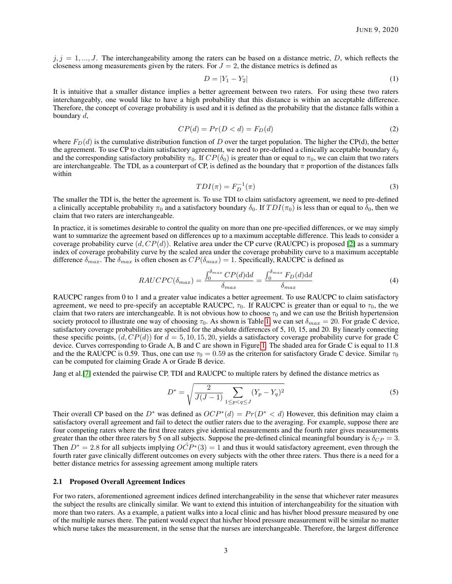$j, j = 1, \ldots, J$ . The interchangeability among the raters can be based on a distance metric, D, which reflects the closeness among measurements given by the raters. For  $J = 2$ , the distance metrics is defined as

$$
D = |Y_1 - Y_2| \tag{1}
$$

It is intuitive that a smaller distance implies a better agreement between two raters. For using these two raters interchangeably, one would like to have a high probability that this distance is within an acceptable difference. Therefore, the concept of coverage probability is used and it is defined as the probability that the distance falls within a boundary d,

$$
CP(d) = Pr(D < d) = F_D(d) \tag{2}
$$

where  $F_D(d)$  is the cumulative distribution function of D over the target population. The higher the CP(d), the better the agreement. To use CP to claim satisfactory agreement, we need to pre-defined a clinically acceptable boundary  $\delta_0$ and the corresponding satisfactory probability  $\pi_0$ . If  $CP(\delta_0)$  is greater than or equal to  $\pi_0$ , we can claim that two raters are interchangeable. The TDI, as a counterpart of CP, is defined as the boundary that  $\pi$  proportion of the distances falls within

$$
TDI(\pi) = F_D^{-1}(\pi)
$$
\n(3)

The smaller the TDI is, the better the agreement is. To use TDI to claim satisfactory agreement, we need to pre-defined a clinically acceptable probability  $\pi_0$  and a satisfactory boundary  $\delta_0$ . If  $TDI(\pi_0)$  is less than or equal to  $\delta_0$ , then we claim that two raters are interchangeable.

In practice, it is sometimes desirable to control the quality on more than one pre-specified differences, or we may simply want to summarize the agreement based on differences up to a maximum acceptable difference. This leads to consider a coverage probability curve  $(d, CP(d))$ . Relative area under the CP curve (RAUCPC) is proposed [\[2\]](#page-12-1) as a summary index of coverage probability curve by the scaled area under the coverage probability curve to a maximum acceptable difference  $\delta_{max}$ . The  $\delta_{max}$  is often chosen as  $CP(\delta_{max}) = 1$ . Specifically, RAUCPC is defined as

$$
RAUCPC(\delta_{max}) = \frac{\int_0^{\delta_{max}} CP(d) \mathrm{d}d}{\delta_{max}} = \frac{\int_0^{\delta_{max}} F_D(d) \mathrm{d}d}{\delta_{max}} \tag{4}
$$

RAUCPC ranges from 0 to 1 and a greater value indicates a better agreement. To use RAUCPC to claim satisfactory agreement, we need to pre-specify an acceptable RAUCPC,  $\tau_0$ . If RAUCPC is greater than or equal to  $\tau_0$ , the we claim that two raters are interchangeable. It is not obvious how to choose  $\tau_0$  and we can use the British hypertension society protocol to illustrate one way of choosing  $\tau_0$ . As shown is Table [1,](#page-1-0) we can set  $\delta_{max} = 20$ . For grade C device, satisfactory coverage probabilities are specified for the absolute differences of 5, 10, 15, and 20. By linearly connecting these specific points,  $(d, CP(d))$  for  $d = 5, 10, 15, 20$ , yields a satisfactory coverage probability curve for grade C device. Curves corresponding to Grade A, B and C are shown in Figure [1.](#page-3-0) The shaded area for Grade C is equal to 11.8 and the the RAUCPC is 0.59. Thus, one can use  $\tau_0 = 0.59$  as the criterion for satisfactory Grade C device. Similar  $\tau_0$ can be computed for claiming Grade A or Grade B device.

Jang et al.[\[7\]](#page-13-0) extended the pairwise CP, TDI and RAUCPC to multiple raters by defined the distance metrics as

$$
D^* = \sqrt{\frac{2}{J(J-1)} \sum_{1 \le p < q \le J} (Y_p - Y_q)^2} \tag{5}
$$

Their overall CP based on the D<sup>∗</sup> was defined as  $OCP^*(d) = Pr(D^* < d)$  However, this definition may claim a satisfactory overall agreement and fail to detect the outlier raters due to the averaging. For example, suppose there are four competing raters where the first three raters give identical measurements and the fourth rater gives measurements greater than the other three raters by 5 on all subjects. Suppose the pre-defined clinical meaningful boundary is  $\delta_{CP} = 3$ . Then  $D^* = 2.8$  for all subjects implying  $O\hat{C}P^*(3) = 1$  and thus it would satisfactory agreement, even through the fourth rater gave clinically different outcomes on every subjects with the other three raters. Thus there is a need for a better distance metrics for assessing agreement among multiple raters

#### 2.1 Proposed Overall Agreement Indices

For two raters, aforementioned agreement indices defined interchangeability in the sense that whichever rater measures the subject the results are clinically similar. We want to extend this intuition of interchangeability for the situation with more than two raters. As a example, a patient walks into a local clinic and has his/her blood pressure measured by one of the multiple nurses there. The patient would expect that his/her blood pressure measurement will be similar no matter which nurse takes the measurement, in the sense that the nurses are interchangeable. Therefore, the largest difference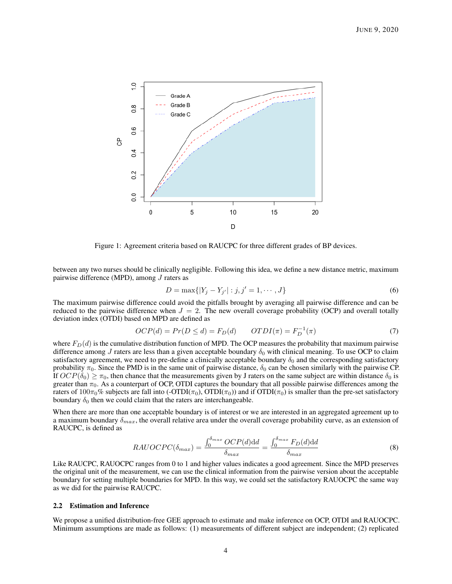<span id="page-3-0"></span>

Figure 1: Agreement criteria based on RAUCPC for three different grades of BP devices.

between any two nurses should be clinically negligible. Following this idea, we define a new distance metric, maximum pairwise difference (MPD), among J raters as

$$
D = \max\{|Y_j - Y_{j'}| : j, j' = 1, \cdots, J\}
$$
\n(6)

The maximum pairwise difference could avoid the pitfalls brought by averaging all pairwise difference and can be reduced to the pairwise difference when  $J = 2$ . The new overall coverage probability (OCP) and overall totally deviation index (OTDI) based on MPD are defined as

$$
OCP(d) = Pr(D \le d) = F_D(d) \qquad OTDI(\pi) = F_D^{-1}(\pi) \tag{7}
$$

where  $F_D(d)$  is the cumulative distribution function of MPD. The OCP measures the probability that maximum pairwise difference among J raters are less than a given acceptable boundary  $\delta_0$  with clinical meaning. To use OCP to claim satisfactory agreement, we need to pre-define a clinically acceptable boundary  $\delta_0$  and the corresponding satisfactory probability  $\pi_0$ . Since the PMD is in the same unit of pairwise distance,  $\delta_0$  can be chosen similarly with the pairwise CP. If  $OCP(\delta_0) \ge \pi_0$ , then chance that the measurements given by J raters on the same subject are within distance  $\delta_0$  is greater than  $\pi_0$ . As a counterpart of OCP, OTDI captures the boundary that all possible pairwise differences among the raters of  $100\pi_0\%$  subjects are fall into (-OTDI( $\pi_0$ ), OTDI( $\pi_0$ )) and if OTDI( $\pi_0$ ) is smaller than the pre-set satisfactory boundary  $\delta_0$  then we could claim that the raters are interchangeable.

When there are more than one acceptable boundary is of interest or we are interested in an aggregated agreement up to a maximum boundary  $\delta_{max}$ , the overall relative area under the overall coverage probability curve, as an extension of RAUCPC, is defined as

$$
RAUOCPC(\delta_{max}) = \frac{\int_0^{\delta_{max}} OCP(d) \, \mathrm{d}d}{\delta_{max}} = \frac{\int_0^{\delta_{max}} F_D(d) \, \mathrm{d}d}{\delta_{max}} \tag{8}
$$

Like RAUCPC, RAUOCPC ranges from 0 to 1 and higher values indicates a good agreement. Since the MPD preserves the original unit of the measurement, we can use the clinical information from the pairwise version about the acceptable boundary for setting multiple boundaries for MPD. In this way, we could set the satisfactory RAUOCPC the same way as we did for the pairwise RAUCPC.

#### 2.2 Estimation and Inference

We propose a unified distribution-free GEE approach to estimate and make inference on OCP, OTDI and RAUOCPC. Minimum assumptions are made as follows: (1) measurements of different subject are independent; (2) replicated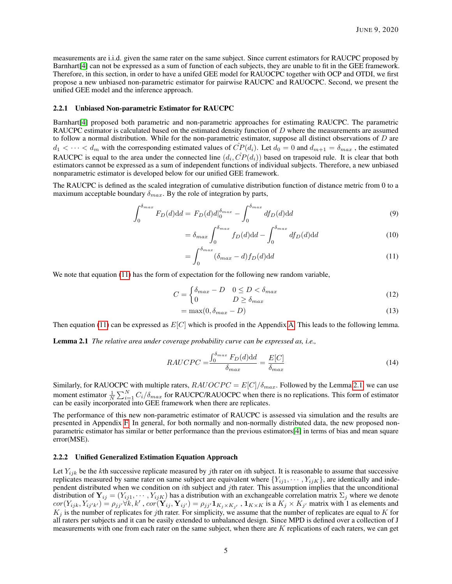measurements are i.i.d. given the same rater on the same subject. Since current estimators for RAUCPC proposed by Barnhart[\[4\]](#page-12-3) can not be expressed as a sum of function of each subjects, they are unable to fit in the GEE framework. Therefore, in this section, in order to have a unifed GEE model for RAUOCPC together with OCP and OTDI, we first propose a new unbiased non-parametric estimator for pairwise RAUCPC and RAUOCPC. Second, we present the unified GEE model and the inference approach.

#### 2.2.1 Unbiased Non-parametric Estimator for RAUCPC

Barnhart[\[4\]](#page-12-3) proposed both parametric and non-parametric approaches for estimating RAUCPC. The parametric RAUCPC estimator is calculated based on the estimated density function of D where the measurements are assumed to follow a normal distribution. While for the non-parametric estimator, suppose all distinct observations of  $D$  are  $d_1 < \cdots < d_m$  with the corresponding estimated values of  $CP(d_i)$ . Let  $d_0 = 0$  and  $d_{m+1} = \delta_{max}$ , the estimated RAUCPC is equal to the area under the connected line  $(d_i, \hat{CP}(d_i))$  based on trapesoid rule. It is clear that both estimators cannot be expressed as a sum of independent functions of individual subjects. Therefore, a new unbiased nonparametric estimator is developed below for our unified GEE framework.

The RAUCPC is defined as the scaled integration of cumulative distribution function of distance metric from 0 to a maximum acceptable boundary  $\delta_{max}$ . By the role of integration by parts,

$$
\int_0^{\delta_{max}} F_D(d) \mathrm{d}d = F_D(d) d \vert_0^{\delta_{max}} - \int_0^{\delta_{max}} df_D(d) \mathrm{d}d \tag{9}
$$

$$
= \delta_{max} \int_0^{\delta_{max}} f_D(d) \mathrm{d}d - \int_0^{\delta_{max}} df_D(d) \mathrm{d}d \tag{10}
$$

<span id="page-4-0"></span>
$$
=\int_{0}^{\delta_{max}} (\delta_{max} - d) f_D(d) \mathrm{d}d \tag{11}
$$

We note that equation [\(11\)](#page-4-0) has the form of expectation for the following new random variable,

$$
C = \begin{cases} \delta_{max} - D & 0 \le D < \delta_{max} \\ 0 & D \ge \delta_{max} \end{cases}
$$
 (12)

$$
= \max(0, \delta_{max} - D) \tag{13}
$$

<span id="page-4-1"></span>Then equation [\(11\)](#page-4-0) can be expressed as  $E[C]$  which is proofed in the Appendix [A.](#page-14-0) This leads to the following lemma.

Lemma 2.1 *The relative area under coverage probability curve can be expressed as, i.e.,*

$$
RAUCPC = \frac{\int_0^{\delta_{max}} F_D(d) \mathrm{d}d}{\delta_{max}} = \frac{E[C]}{\delta_{max}} \tag{14}
$$

Similarly, for RAUOCPC with multiple raters,  $RAUOCPC = E[C]/\delta_{max}$ . Followed by the Lemma [2.1,](#page-4-1) we can use moment estimator  $\frac{1}{N}\sum_{i=1}^{N}C_i/\delta_{max}$  for RAUCPC/RAUOCPC when there is no replications. This form of estimator can be easily incorporated into GEE framework when there are replicates.

The performance of this new non-parametric estimator of RAUCPC is assessed via simulation and the results are presented in Appendix [F.](#page-19-0) In general, for both normally and non-normally distributed data, the new proposed nonparametric estimator has similar or better performance than the previous estimators[\[4\]](#page-12-3) in terms of bias and mean square error(MSE).

#### 2.2.2 Unified Generalized Estimation Equation Approach

Let  $Y_{ijk}$  be the kth successive replicate measured by jth rater on ith subject. It is reasonable to assume that successive replicates measured by same rater on same subject are equivalent where  ${Y_{ij1}, \dots, Y_{ijk}}$ , are identically and independent distributed when we condition on ith subject and jth rater. This assumption implies that the unconditional distribution of  $Y_{ij} = (Y_{ij1}, \cdots, Y_{ijK})$  has a distribution with an exchangeable correlation matrix  $\Sigma_j$  where we denote  $cor(Y_{ijk}, Y_{ij'k'}) = \rho_{jj'} \forall k, k', cor(\mathbf{Y}_{ij}, \mathbf{Y}_{ij'}) = \rho_{jj'} \mathbf{1}_{K_j \times K_{j'}}$ ,  $\mathbf{1}_{K \times K}$  is a  $K_j \times K_{j'}$  matrix with 1 as elements and  $K_j$  is the number of replicates for jth rater. For simplicity, we assume that the number of replicates are equal to K for all raters per subjects and it can be easily extended to unbalanced design. Since MPD is defined over a collection of J measurements with one from each rater on the same subject, when there are  $K$  replications of each raters, we can get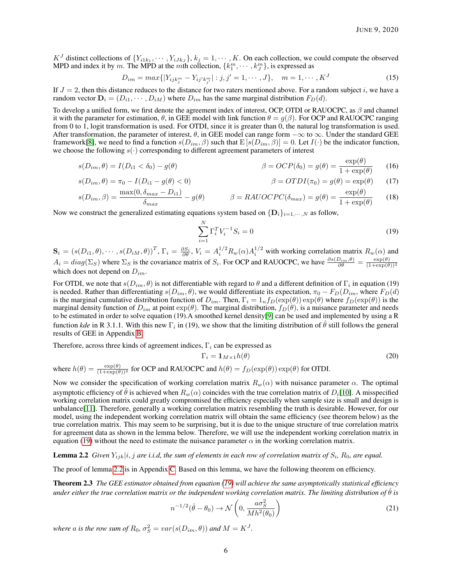$K^J$  distinct collections of  $\{Y_{i1k_1}, \cdots, Y_{iJk_J}\}, k_j = 1, \cdots, K$ . On each collection, we could compute the observed MPD and index it by m. The MPD at the mth collection,  $\{k_1^m, \dots, k_J^m\}$ , is expressed as

$$
D_{im} = max\{|Y_{ijk_j^m} - Y_{ij'k_{j'}^m}| : j, j' = 1, \cdots, J\}, \quad m = 1, \cdots, K^J
$$
 (15)

If  $J = 2$ , then this distance reduces to the distance for two raters mentioned above. For a random subject i, we have a random vector  $D_i = (D_{i1}, \dots, D_{iM})$  where  $D_{im}$  has the same marginal distribution  $F_D(d)$ .

To develop a unified form, we first denote the agreement index of interest, OCP, OTDI or RAUOCPC, as  $\beta$  and channel it with the parameter for estimation,  $\theta$ , in GEE model with link function  $\theta = g(\beta)$ . For OCP and RAUOCPC ranging from 0 to 1, logit transformation is used. For OTDI, since it is greater than 0, the natural log transformation is used. After transformation, the parameter of interest,  $\theta$ , in GEE model can range form  $-\infty$  to  $\infty$ . Under the standard GEE framework[\[8\]](#page-13-1), we need to find a function  $s(D_{im}, \beta)$  such that  $E[s(D_{im}, \beta)] = 0$ . Let  $I(\cdot)$  be the indicator function, we choose the following  $s(\cdot)$  corresponding to different agreement parameters of interest

$$
s(D_{im}, \theta) = I(D_{i1} < \delta_0) - g(\theta) \qquad \beta = OCP(\delta_0) = g(\theta) = \frac{\exp(\theta)}{1 + \exp(\theta)} \qquad (16)
$$

$$
s(D_{im}, \theta) = \pi_0 - I(D_{i1} - g(\theta) < 0) \tag{17}
$$
\n
$$
\beta = OTDI(\pi_0) = g(\theta) = \exp(\theta) \tag{17}
$$

$$
s(D_{im}, \beta) = \frac{\max(0, \delta_{max} - D_{i1})}{\delta_{max}} - g(\theta) \qquad \beta = RAUOCPC(\delta_{max}) = g(\theta) = \frac{\exp(\theta)}{1 + \exp(\theta)} \qquad (18)
$$

Now we construct the generalized estimating equations system based on  $\{D_i\}_{i=1,\dots,N}$  as follow,

<span id="page-5-4"></span><span id="page-5-3"></span><span id="page-5-0"></span>
$$
\sum_{i=1}^{N} \Gamma_i^T V_i^{-1} S_i = 0 \tag{19}
$$

 $\mathbf{S}_i = (s(D_{i1}, \theta), \cdots, s(D_{iM}, \theta))^T$ ,  $\Gamma_i = \frac{\partial S_i}{\partial \theta}$ ,  $V_i = A_i^{1/2} R_w(\alpha) A_i^{1/2}$  with working correlation matrix  $R_w(\alpha)$  and  $A_i = diag(\Sigma_S)$  where  $\Sigma_S$  is the covariance matrix of  $S_i$ . For OCP and RAUOCPC, we have  $\frac{\partial s(D_{im}, \theta)}{\partial \theta} = \frac{\exp(\theta)}{(1 + \exp(\theta))^2}$ which does not depend on  $D_{im}$ .

For OTDI, we note that  $s(D_{im}, \theta)$  is not differentiable with regard to  $\theta$  and a different definition of  $\Gamma_i$  in equation (19) is needed. Rather than differentiating  $s(D_{im}, \theta)$ , we would differentiate its expectation,  $\pi_0 - F_D(D_{im}, \text{where } F_D(d)$ is the marginal cumulative distribution function of  $D_{im}$ . Then,  $\Gamma_i = 1_n f_D(\exp(\theta)) \exp(\theta)$  where  $f_D(\exp(\theta))$  is the marginal density function of  $D_{im}$  at point  $\exp(\theta)$ . The marginal distribution,  $f_D(\theta)$ , is a nuisance parameter and needs to be estimated in order to solve equation (19).A smoothed kernel density[\[9\]](#page-13-2) can be used and implemented by using a R function *kde* in R 3.1.1. With this new  $\Gamma_i$  in (19), we show that the limiting distribution of  $\hat{\theta}$  still follows the general results of GEE in Appendix [B.](#page-15-0)

Therefore, across three kinds of agreement indices,  $\Gamma_i$  can be expressed as

$$
\Gamma_i = \mathbf{1}_{M \times 1} h(\theta)
$$
\n(20)

\nwhere  $h(\theta) = \frac{\exp(\theta)}{(1 + \exp(\theta))^2}$  for OCP and RAUOCPC and  $h(\theta) = f_D(\exp(\theta)) \exp(\theta)$  for OTDL.

Now we consider the specification of working correlation matrix  $R_w(\alpha)$  with nuisance parameter  $\alpha$ . The optimal asymptotic efficiency of  $\hat{\theta}$  is achieved when  $R_w(\alpha)$  coincides with the true correlation matrix of  $D_i[10]$  $D_i[10]$ . A misspecified working correlation matrix could greatly compromised the efficiency especially when sample size is small and design is unbalance[\[11\]](#page-13-4). Therefore, generally a working correlation matrix resembling the truth is desirable. However, for our model, using the independent working correlation matrix will obtain the same efficiency (see theorem below) as the true correlation matrix. This may seem to be surprising, but it is due to the unique structure of true correlation matrix for agreement data as shown in the lemma below. Therefore, we will use the independent working correlation matrix in equation [\(19\)](#page-5-0) without the need to estimate the nuisance parameter  $\alpha$  in the working correlation matrix.

<span id="page-5-1"></span>**Lemma 2.2** Given  $Y_{ijk}|i,j$  are i.i.d, the sum of elements in each row of correlation matrix of  $S_i$ ,  $R_0$ , are equal.

The proof of lemma [2.2](#page-5-1) is in Appendix [C.](#page-15-1) Based on this lemma, we have the following theorem on efficiency.

Theorem 2.3 *The GEE estimator obtained from equation [\(19\)](#page-5-0) will achieve the same asymptotically statistical efficiency under either the true correlation matrix or the independent working correlation matrix. The limiting distribution of*  $\theta$  *is* 

<span id="page-5-5"></span><span id="page-5-2"></span>
$$
n^{-1/2}(\hat{\theta} - \theta_0) \to \mathcal{N}\left(0, \frac{a\sigma_S^2}{Mh^2(\theta_0)}\right) \tag{21}
$$

*where* a *is the row sum of*  $R_0$ ,  $\sigma_S^2 = var(s(D_{im}, \theta))$  and  $M = K^J$ .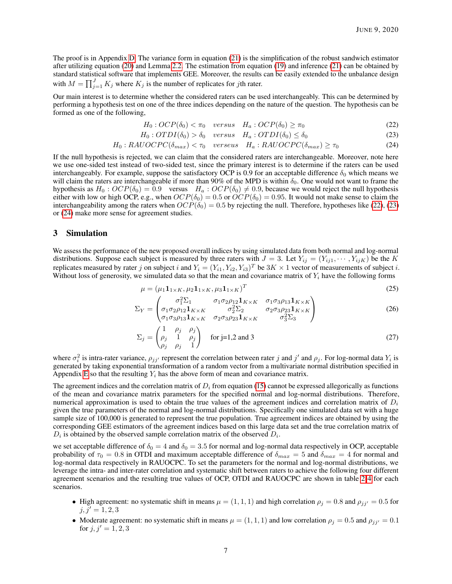The proof is in Appendix [D.](#page-17-0) The variance form in equation [\(21\)](#page-5-2) is the simplification of the robust sandwich estimator after utilizing equation [\(20\)](#page-5-3) and Lemma [2.2.](#page-5-1) The estimation from equation [\(19\)](#page-5-0) and inference [\(21\)](#page-5-2) can be obtained by standard statistical software that implements GEE. Moreover, the results can be easily extended to the unbalance design with  $M = \prod_{j=1}^{J} K_j$  where  $K_j$  is the number of replicates for jth rater.

Our main interest is to determine whether the considered raters can be used interchangeably. This can be determined by performing a hypothesis test on one of the three indices depending on the nature of the question. The hypothesis can be formed as one of the following,

<span id="page-6-2"></span><span id="page-6-1"></span><span id="page-6-0"></span>
$$
H_0: OCP(\delta_0) < \pi_0 \quad versus \quad H_a: OCP(\delta_0) \ge \pi_0 \tag{22}
$$

$$
H_0: OTDI(\delta_0) > \delta_0 \quad versus \quad H_a: OTDI(\delta_0) \le \delta_0 \tag{23}
$$

$$
H_0:RAUOCPC(\delta_{max}) < \tau_0 \quad versus \quad H_a:RAUOCPC(\delta_{max}) \ge \tau_0 \tag{24}
$$

If the null hypothesis is rejected, we can claim that the considered raters are interchangeable. Moreover, note here we use one-sided test instead of two-sided test, since the primary interest is to determine if the raters can be used interchangeably. For example, suppose the satisfactory OCP is 0.9 for an acceptable difference  $\delta_0$  which means we will claim the raters are interchangeable if more than 90% of the MPD is within  $\delta_0$ . One would not want to frame the hypothesis as  $H_0$ :  $OCP(\delta_0) = 0.9$  versus  $H_a$ :  $OCP(\delta_0) \neq 0.9$ , because we would reject the null hypothesis either with low or high OCP, e.g., when  $OCP(\delta_0) = 0.5$  or  $OCP(\delta_0) = 0.95$ . It would not make sense to claim the interchangeability among the raters when  $OCP(\tilde{\delta}_0) = 0.5$  by rejecting the null. Therefore, hypotheses like [\(22\)](#page-6-0), [\(23\)](#page-6-1) or [\(24\)](#page-6-2) make more sense for agreement studies.

#### 3 Simulation

We assess the performance of the new proposed overall indices by using simulated data from both normal and log-normal distributions. Suppose each subject is measured by three raters with  $J = 3$ . Let  $Y_{ij} = (Y_{ij1}, \dots, Y_{ijK})$  be the K replicates measured by rater j on subject i and  $Y_i = (Y_{i1}, Y_{i2}, Y_{i3})^T$  be  $3K \times 1$  vector of measurements of subject i. Without loss of generosity, we simulated data so that the mean and covariance matrix of  $Y_i$  have the following forms

<span id="page-6-4"></span><span id="page-6-3"></span>
$$
\mu = (\mu_1 \mathbf{1}_{1 \times K}, \mu_2 \mathbf{1}_{1 \times K}, \mu_3 \mathbf{1}_{1 \times K})^T
$$
\n(25)

$$
\Sigma_Y = \begin{pmatrix}\n\sigma_1^2 \Sigma_1 & \sigma_1 \sigma_2 \rho_{12} \mathbf{1}_{K \times K} & \sigma_1 \sigma_3 \rho_{13} \mathbf{1}_{K \times K} \\
\sigma_1 \sigma_2 \rho_{12} \mathbf{1}_{K \times K} & \sigma_2^2 \Sigma_2 & \sigma_2 \sigma_3 \rho_{23} \mathbf{1}_{K \times K} \\
\sigma_1 \sigma_3 \rho_{13} \mathbf{1}_{K \times K} & \sigma_2 \sigma_3 \rho_{23} \mathbf{1}_{K \times K} & \sigma_3^2 \Sigma_3\n\end{pmatrix}
$$
\n(26)

$$
\Sigma_j = \begin{pmatrix} 1 & \rho_j & \rho_j \\ \rho_j & 1 & \rho_j \\ \rho_j & \rho_j & 1 \end{pmatrix} \text{ for } j=1,2 \text{ and } 3
$$
 (27)

where  $\sigma_i^2$  is intra-rater variance,  $\rho_{jj'}$  represent the correlation between rater j and j' and  $\rho_j$ . For log-normal data  $Y_i$  is generated by taking exponential transformation of a random vector from a multivariate normal distribution specified in Appendix [E](#page-18-0) so that the resulting  $Y_i$  has the above form of mean and covariance matrix.

The agreement indices and the correlation matrix of  $D_i$  from equation [\(15\)](#page-5-4) cannot be expressed allegorically as functions of the mean and covariance matrix parameters for the specified normal and log-normal distributions. Therefore, numerical approximation is used to obtain the true values of the agreement indices and correlation matrix of  $D_i$ given the true parameters of the normal and log-normal distributions. Specifically one simulated data set with a huge sample size of 100,000 is generated to represent the true population. True agreement indices are obtained by using the corresponding GEE estimators of the agreement indices based on this large data set and the true correlation matrix of  $D_i$  is obtained by the observed sample correlation matrix of the observed  $D_i$ .

we set acceptable difference of  $\delta_0 = 4$  and  $\delta_0 = 3.5$  for normal and log-normal data respectively in OCP, acceptable probability of  $\tau_0 = 0.8$  in OTDI and maximum acceptable difference of  $\delta_{max} = 5$  and  $\delta_{max} = 4$  for normal and log-normal data respectively in RAUOCPC. To set the parameters for the normal and log-normal distributions, we leverage the intra- and inter-rater correlation and systematic shift between raters to achieve the following four different agreement scenarios and the resulting true values of OCP, OTDI and RAUOCPC are shown in table [2-](#page-8-0)[4](#page-10-0) for each scenarios.

- High agreement: no systematic shift in means  $\mu = (1, 1, 1)$  and high correlation  $\rho_j = 0.8$  and  $\rho_{jj'} = 0.5$  for  $j, j' = 1, 2, 3$
- Moderate agreement: no systematic shift in means  $\mu = (1, 1, 1)$  and low correlation  $\rho_j = 0.5$  and  $\rho_{jj'} = 0.1$ for  $j, j' = 1, 2, 3$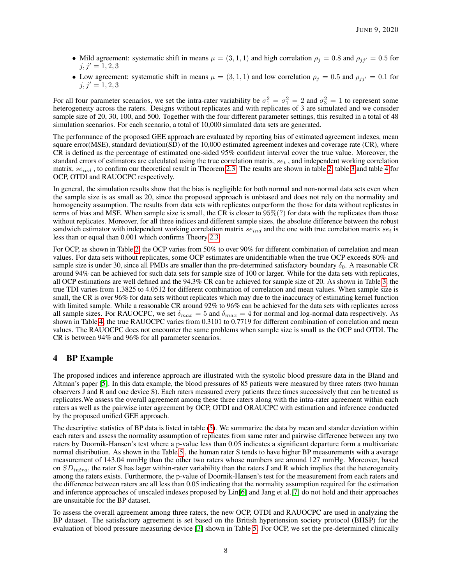- Mild agreement: systematic shift in means  $\mu = (3, 1, 1)$  and high correlation  $\rho_j = 0.8$  and  $\rho_{jj'} = 0.5$  for  $j, j' = 1, 2, 3$
- Low agreement: systematic shift in means  $\mu = (3, 1, 1)$  and low correlation  $\rho_j = 0.5$  and  $\rho_{jj'} = 0.1$  for  $j, j' = 1, 2, 3$

For all four parameter scenarios, we set the intra-rater variability be  $\sigma_1^2 = \sigma_1^2 = 2$  and  $\sigma_3^2 = 1$  to represent some heterogeneity across the raters. Designs without replicates and with replicates of 3 are simulated and we consider sample size of 20, 30, 100, and 500. Together with the four different parameter settings, this resulted in a total of 48 simulation scenarios. For each scenario, a total of 10,000 simulated data sets are generated.

The performance of the proposed GEE approach are evaluated by reporting bias of estimated agreement indexes, mean square error(MSE), standard deviation(SD) of the 10,000 estimated agreement indexes and coverage rate (CR), where CR is defined as the percentage of estimated one-sided 95% confident interval cover the true value. Moreover, the standard errors of estimators are calculated using the true correlation matrix,  $se_t$ , and independent working correlation matrix,  $se_{ind}$ , to confirm our theoretical result in Theorem [2.3.](#page-5-5) The results are shown in table [2,](#page-8-0) table [3](#page-9-0) and table [4](#page-10-0) for OCP, OTDI and RAUOCPC respectively.

In general, the simulation results show that the bias is negligible for both normal and non-normal data sets even when the sample size is as small as 20, since the proposed approach is unbiased and does not rely on the normality and homogeneity assumption. The results from data sets with replicates outperform the those for data without replicates in terms of bias and MSE. When sample size is small, the CR is closer to  $95\%/$ ? for data with the replicates than those without replicates. Moreover, for all three indices and different sample sizes, the absolute difference between the robust sandwich estimator with independent working correlation matrix  $se_{ind}$  and the one with true correlation matrix  $se_t$  is less than or equal than 0.001 which confirms Theory [2.3.](#page-5-5)

For OCP, as shown in Table [2,](#page-8-0) the OCP varies from 50% to over 90% for different combination of correlation and mean values. For data sets without replicates, some OCP estimates are unidentifiable when the true OCP exceeds 80% and sample size is under 30, since all PMDs are smaller than the pre-determined satisfactory boundary  $\delta_0$ . A reasonable CR around 94% can be achieved for such data sets for sample size of 100 or larger. While for the data sets with replicates, all OCP estimations are well defined and the 94.3% CR can be achieved for sample size of 20. As shown in Table [3,](#page-9-0) the true TDI varies from 1.3825 to 4.0512 for different combination of correlation and mean values. When sample size is small, the CR is over 96% for data sets without replicates which may due to the inaccuracy of estimating kernel function with limited sample. While a reasonable CR around 92% to 96% can be achieved for the data sets with replicates across all sample sizes. For RAUOCPC, we set  $\delta_{max} = 5$  and  $\delta_{max} = 4$  for normal and log-normal data respectively. As shown in Table [4,](#page-10-0) the true RAUOCPC varies from 0.3101 to 0.7719 for different combination of correlation and mean values. The RAUOCPC does not encounter the same problems when sample size is small as the OCP and OTDI. The CR is between 94% and 96% for all parameter scenarios.

## <span id="page-7-0"></span>4 BP Example

The proposed indices and inference approach are illustrated with the systolic blood pressure data in the Bland and Altman's paper [\[5\]](#page-12-4). In this data example, the blood pressures of 85 patients were measured by three raters (two human observers J and R and one device S). Each raters measured every patients three times successively that can be treated as replicates.We assess the overall agreement among these three raters along with the intra-rater agreement within each raters as well as the pairwise inter agreement by OCP, OTDI and ORAUCPC with estimation and inference conducted by the proposed unified GEE approach.

The descriptive statistics of BP data is listed in table [\(5\)](#page-11-0). We summarize the data by mean and stander deviation within each raters and assess the normality assumption of replicates from same rater and pairwise difference between any two raters by Doornik-Hansen's test where a p-value less than 0.05 indicates a significant departure form a multivariate normal distribution. As shown in the Table [5](#page-11-0) , the human rater S tends to have higher BP measurements with a average measurement of 143.04 mmHg than the other two raters whose numbers are around 127 mmHg. Moreover, based on  $SD_{intra}$ , the rater S has lager within-rater variability than the raters J and R which implies that the heterogeneity among the raters exists. Furthermore, the p-value of Doornik-Hansen's test for the measurement from each raters and the difference between raters are all less than 0.05 indicating that the normality assumption required for the estimation and inference approaches of unscaled indexes proposed by Lin[\[6\]](#page-12-5) and Jang et al.[\[7\]](#page-13-0) do not hold and their approaches are unsuitable for the BP dataset.

To assess the overall agreement among three raters, the new OCP, OTDI and RAUOCPC are used in analyzing the BP dataset. The satisfactory agreement is set based on the British hypertension society protocol (BHSP) for the evaluation of blood pressure measuring device [\[3\]](#page-12-2) shown in Table [5.](#page-11-0) For OCP, we set the pre-determined clinically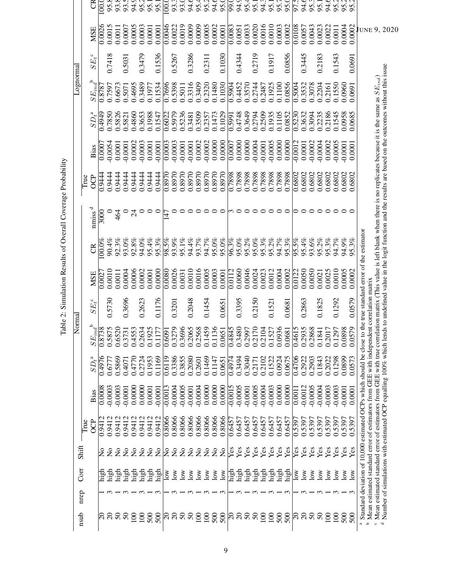| nsub                     | nrep       | Corr                    | Shift                     |            |           |          | Normal                                                                                         |        |                                                                                                                            |           |                              |                                                                                                                                                                                                                                                                          |                     |          | Lognormal    |          |                     |                    |
|--------------------------|------------|-------------------------|---------------------------|------------|-----------|----------|------------------------------------------------------------------------------------------------|--------|----------------------------------------------------------------------------------------------------------------------------|-----------|------------------------------|--------------------------------------------------------------------------------------------------------------------------------------------------------------------------------------------------------------------------------------------------------------------------|---------------------|----------|--------------|----------|---------------------|--------------------|
|                          |            |                         |                           | True       |           |          |                                                                                                |        |                                                                                                                            |           |                              | True                                                                                                                                                                                                                                                                     |                     |          |              |          |                     |                    |
|                          |            |                         |                           | <b>OCP</b> | Bias      | $SD_t^a$ | $SE_{ind}^{\mathbf{b}}$                                                                        | $SE_t$ | MSE                                                                                                                        | g         | $n \text{miss}$ <sup>d</sup> | <b>OCP</b>                                                                                                                                                                                                                                                               | Bias                | $SD_t^a$ | $SE_{ind}^b$ | $SE_t^c$ | <b>MSE</b>          | CR                 |
|                          |            | ្ម<br>ដ                 | $\Xi$                     | 0.9412     | 0.0008    | 0.4976   | 0.8738                                                                                         |        | 0.0027                                                                                                                     | $100.0\%$ | 3000                         | 0.9444                                                                                                                                                                                                                                                                   | 0.0007              | 0.4949   | 0.8787       |          | 0.0026              | $\overline{100}$ . |
| ິລິ ລິ ລິ                |            | high                    |                           | 0.9412     | $-0.0003$ | 0.6777   | 0.5875                                                                                         | 0.5730 | 0.0010                                                                                                                     | 90.4%     |                              | 0.9444                                                                                                                                                                                                                                                                   | $-0.0054$           | 0.7850   | 0.7597       | 0.7418   | 0.0015              | 95.8               |
|                          |            | $\operatorname{high}$   | $\tilde{z}$               | 0.9412     | $-0.0003$ | 0.5869   | 0.6520                                                                                         |        | 0.0011                                                                                                                     | 92.3%     | 464                          | 0.9444                                                                                                                                                                                                                                                                   | 0.0001              | 0.5826   | 0.6673       |          | 0.0011              | 93.8               |
|                          |            | high                    | $\tilde{z}$               | 0.9412     | $-0.0001$ | 0.4071   | 0.3731                                                                                         | 0.3696 | 0.0004                                                                                                                     | 93.0%     |                              | 0.9444                                                                                                                                                                                                                                                                   | $-0.0001$           | 0.5821   | 0.5071       | 0.5031   | 0.0007              | 93.5               |
|                          |            | high                    | $\tilde{z}$               | 0.9412     | 0.0000    | 0.4770   | 0.4553                                                                                         |        | 0.0006                                                                                                                     | 92.8%     | $\mathcal{Z}$                | 0.9444                                                                                                                                                                                                                                                                   | 0.0002              | 0.4860   | 0.4695       |          | 0.0005              | 94.9               |
|                          | $ \infty$  |                         | $\mathsf{S}^{\mathsf{o}}$ | 0.9412     | 0.0000    | 0.2724   | 0.2634                                                                                         | 0.2623 | 0.0002                                                                                                                     | 94.0%     |                              | 0.9444                                                                                                                                                                                                                                                                   | $-0.0003$           | 0.3653   | 0.3489       | 0.3479   | 0.0003              | 95.2               |
|                          |            | high<br>high            | $\tilde{z}$               | 0.9412     | 0.0001    | 0.1953   | 0.1925                                                                                         |        | 0.0001                                                                                                                     | 95.4%     |                              | 0.9444                                                                                                                                                                                                                                                                   | 0.0001              | 0.1988   | 0.1977       |          | 0.0001              | 95.1               |
| 8888<br>1888             | ⊣ ຕ        | high                    | $\tilde{z}$               | 0.9412     | 0.0001    | 0.1169   | 0.1177                                                                                         | 0.1176 | 0.0000                                                                                                                     | 95.3%     |                              | 0.9444                                                                                                                                                                                                                                                                   | 0.0001              | 0.1547   | 0.1534       | 0.1536   | 0.0001              | 95.                |
|                          |            | $\frac{8}{2}$           | $\Xi$                     | 0.8066     | $-0.0013$ | 0.6119   | 0.6091                                                                                         |        | $\frac{0.0080}{2}$                                                                                                         | 98.5%     |                              | 0.8970                                                                                                                                                                                                                                                                   | $\overline{0.0003}$ | 0.6022   | 0.7696       |          | 0.0046              | $\overline{00}$    |
| ສ ສ ສ ສ                  | $\omega$   | $\sum_{i=1}^{\infty}$   | $\mathsf{S}$              | 0.8066     | $-0.0004$ | 0.3386   | 0.3279                                                                                         | 0.3201 | 0.0026                                                                                                                     | 93.9%     |                              | 0.8970                                                                                                                                                                                                                                                                   | $-0.0003$           | 0.5979   | 0.5398       | 0.5267   | 0.0022              | 93.3               |
|                          |            | $\sum_{i=1}^{\infty}$   | $\mathsf{S}^{\mathsf{O}}$ | 0.8066     | $-0.0005$ | 0.3855   | 0.3696                                                                                         |        | 0.0031                                                                                                                     | 95.1%     |                              | 0.8970                                                                                                                                                                                                                                                                   | $-0.0001$           | 0.5236   | 0.5011       |          | 0.0019              | 93.0               |
|                          | $\omega$   | $\overline{\text{row}}$ | $\mathsf{S}^{\mathsf{O}}$ | 0.8066     | $-0.0001$ | 0.2080   | 0.2065                                                                                         | 0.2048 | 0.0010                                                                                                                     | 94.4%     |                              | 0.8970                                                                                                                                                                                                                                                                   | $-0.0001$           | 0.3481   | 0.3316       | 0.3286   | 0.0009              | 94.6               |
| $\overline{5}$           |            | $\sim$                  | $\tilde{z}$               | 0.8066     | $-0.0004$ | 0.2601   | 0.2568                                                                                         |        | 0.0016                                                                                                                     | 93.7%     |                              | 0.8970                                                                                                                                                                                                                                                                   | 0.0002              | 0.3509   | 0.3409       |          | 0.0009              | 95.4               |
|                          |            | $\sim$                  | $\tilde{z}$               | 0.8066     | 0.0000    | 0.1469   | 0.1459                                                                                         | 0.1454 | 0.0005                                                                                                                     | 94.7%     |                              | 0.8970                                                                                                                                                                                                                                                                   | 0.0002              | 0.2357   | 0.2320       | 0.2311   | 0.0005              | 95.2               |
|                          | $\omega -$ | $\log$                  | $\tilde{z}$               | 0.8066     | 0.0000    | 0.1147   | 0.1136                                                                                         |        | 0.0003                                                                                                                     | 95.0%     |                              | 0.8970                                                                                                                                                                                                                                                                   | 0.0000              | 0.1473   | 0.1480       |          | 0.0002              | 3.6                |
| 288                      | $\omega$   | $\log$                  | $\tilde{z}$               | 0.8066     | 0.0000    | 0.0651   | 0.0651                                                                                         | 0.0651 | 0.0001                                                                                                                     | 95.0%     |                              | 0.8970                                                                                                                                                                                                                                                                   | 0.0000              | 0.1029   | 0.1030       | 0.1030   | 0.0001              | 95(                |
|                          |            | ਪ੍ਰਹ<br>ਹਵਾ             | Yes                       | 0.6457     | $-0.0015$ | 0.4974   | 0.4845                                                                                         |        | 0.0112                                                                                                                     | 96.3%     |                              | 0.7898                                                                                                                                                                                                                                                                   | 0.0007              | 0.5991   | 0.5904       |          | 0.0083              | 99.                |
|                          | $\sim$     | high                    | $\mathbf{Yes}$            | 0.6457     | $-0.0005$ | 0.3494   | 0.3480                                                                                         | 0.3395 | 0.0060                                                                                                                     | 95.0%     |                              | 0.7898                                                                                                                                                                                                                                                                   | 0.0000              | 0.4748   | 0.4452       | 0.4344   | 0.0051              | 94.9               |
|                          |            |                         | Yes                       | 0.6457     | $-0.0001$ | 0.3040   | 0.2997                                                                                         |        | 0.0046                                                                                                                     | 95.2%     |                              | 0.7898                                                                                                                                                                                                                                                                   | 0.0000              | 0.3649   | 0.3570       |          | 0.0033              | 95.4               |
| ິ<br>ລິລິ <i>ລິ</i>      | $\omega$   | high<br>high            | Yes                       | 0.6457     | $-0.0005$ | 0.2171   | 0.2170                                                                                         | 0.2150 | 0.0024                                                                                                                     | 95.0%     |                              | 0.7898                                                                                                                                                                                                                                                                   | $-0.0004$           | 0.2794   | 0.2744       | 0.2719   | 0.0020              | 95.                |
| $\overline{5}$           |            | high<br>high            | Yes                       | 0.6457     | $-0.0004$ | 0.2102   | 0.2104                                                                                         |        | 0.0023                                                                                                                     | 95.3%     |                              | 0.7898                                                                                                                                                                                                                                                                   | $-0.0001$           | 0.2509   | 0.2487       |          | 0.0016              | 94.3               |
| $\overline{5}$           | $\omega$   |                         | Yes                       | 0.6457     | $-0.0003$ | 0.1522   | 0.1527                                                                                         | 0.1521 | 0.0012                                                                                                                     | 95.2%     | ○                            | 0.7898                                                                                                                                                                                                                                                                   | $-0.0005$           | 0.1935   | 0.1925       | 0.1917   | 0.0010              | 95.1               |
| $\frac{500}{500}$        |            | high                    | Yes                       | 0.6457     | 0.0000    | 0.0924   | 0.0936                                                                                         |        | 0.0004                                                                                                                     | 94.7%     | ○                            | 0.7898                                                                                                                                                                                                                                                                   | 0.0000              | 0.1105   | 0.1100       |          | 0.0003              | 95.7               |
|                          | ر ،        | high                    | Yes                       | 0.6457     | 0.0000    | 0.0675   | 0.0681                                                                                         | 0.068  | 0.0002                                                                                                                     | 95.3%     | っ                            | 0.7898                                                                                                                                                                                                                                                                   | 0.0000              | 0.0852   | 0.0856       | 0.0856   | 0.0002              | 95(                |
|                          |            | $\overline{\text{low}}$ | Yes                       | 0.5397     | 0.0011    | 0.4706   | 0.4615                                                                                         |        | 0.0122                                                                                                                     | 95.5%     | ▷                            | 0.6802                                                                                                                                                                                                                                                                   | $-0.0012$           | 0.5230   | 0.5004       |          | $0.\overline{0108}$ | 97.5               |
| ន្ត្រន                   | $\omega$   | $\infty$                | Yes                       | 0.5397     | $-0.0012$ | 0.2922   | 0.2935                                                                                         | 0.2863 | 0.0050                                                                                                                     | 95.4%     | $\circ$                      | 0.6802                                                                                                                                                                                                                                                                   | 0.0001              | 0.3632   | 0.3532       | 0.3445   | 0.0057              | 94.6               |
|                          |            | $\infty$                | Yes                       | 0.5397     | $-0.0005$ | 0.2903   | 0.2868                                                                                         |        | 0.0050                                                                                                                     | 93.6%     | $\circ$                      | 0.6802                                                                                                                                                                                                                                                                   | $-0.0002$           | 0.3094   | 0.3078       |          | 0.0043              | 95.3               |
| $50^{\circ}$             | $\omega$   | $\infty$                | Yes                       | 0.5397     | $-0.0004$ | 0.1843   | 0.1841                                                                                         | 0.1825 | 0.0021                                                                                                                     | 95.2%     | $\circ$                      | 0.6802                                                                                                                                                                                                                                                                   | $-0.0004$           | 0.2235   | 0.2204       | 0.2183   | 0.0023              | 95.1               |
| $\overline{\Xi}$         |            | $\overline{\text{S}}$   | Yes                       | 0.5397     | $-0.0003$ | 0.2022   | 0.2017                                                                                         |        | 0.0025                                                                                                                     | 95.3%     | ○                            | 0.6802                                                                                                                                                                                                                                                                   | 0.0002              | 0.2186   | 0.2161       |          | 0.0022              | 94.6               |
| $\overline{100}$         | $\omega$   | $\infty$                | Yes                       | 0.5397     | $-0.0003$ | 0.1298   | 0.1297                                                                                         | 0.1292 | 0.0010                                                                                                                     | 94.7%     | ○                            | 0.6802                                                                                                                                                                                                                                                                   | $-0.0005$           | 0.1545   | 0.1550       | 0.1543   | 0.0011              | 95.2               |
| 500                      |            | $\overline{\text{SO}}$  | Yes                       | 0.5397     | $-0.0001$ | 0.0899   | 0.0898                                                                                         |        | 0.0005                                                                                                                     | 94.9%     |                              | 0.6802                                                                                                                                                                                                                                                                   | $-0.0001$           | 0.0958   | 0.0960       |          | 0.0004              | 95.2               |
| 500                      |            | $\sum_{i=1}^{\infty}$   | Yes                       | 0.5397     | 0.0001    | 0.0573   | 0.0579                                                                                         | 0.0579 | 0.0002                                                                                                                     | 95.3%     |                              | 0.6802                                                                                                                                                                                                                                                                   | 0.0001              | 0.0685   | 0.0691       | 0.0691   | 0.0002              | 95.2               |
|                          |            |                         |                           |            |           |          |                                                                                                |        | <sup>a</sup> Standard deviation of 10,000 estimated OCPs which should be close to the true standard error of the estimator |           |                              |                                                                                                                                                                                                                                                                          |                     |          |              |          | UNE                 |                    |
| $\circ$                  |            |                         |                           |            |           |          | <sup>b</sup> Mean estimated standard error of estimators from GEE with independent correlation |        | matrix                                                                                                                     |           |                              |                                                                                                                                                                                                                                                                          |                     |          |              |          |                     |                    |
| $\overline{\phantom{a}}$ |            |                         |                           |            |           |          | Mean estimated standard error of estimators from GEE with true correlation matrix (            |        |                                                                                                                            |           |                              | Number of simulations with estimated OCP equalling 100% which lends to undefined value in the logit function and the results are based on the outcomes without this issue<br>This value is left blank when there is no replicates because it is the same as $SE_{ind}$ ) |                     |          |              |          | 9,                  |                    |
|                          |            |                         |                           |            |           |          |                                                                                                |        |                                                                                                                            |           |                              |                                                                                                                                                                                                                                                                          |                     |          |              |          | 2020                |                    |
|                          |            |                         |                           |            |           |          |                                                                                                |        |                                                                                                                            |           |                              |                                                                                                                                                                                                                                                                          |                     |          |              |          |                     |                    |

<span id="page-8-0"></span>Table 2: Simulation Results of Overall Coverage Probability Table 2: Simulation Results of Overall Coverage Probability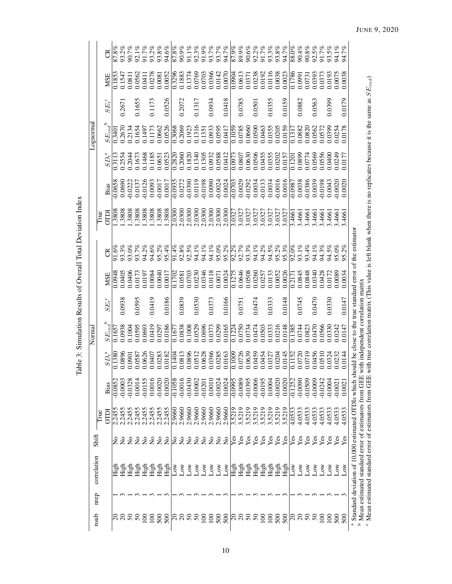<span id="page-9-0"></span>

| はんてんしょう けんきん                                                                                                     |  |
|------------------------------------------------------------------------------------------------------------------|--|
| <b>SSS</b><br>l                                                                                                  |  |
| $\ddot{\phantom{0}}$<br>.<br>.<br>.<br>.                                                                         |  |
| -<br>3<br>١<br>$\frac{1}{4}$                                                                                     |  |
| ֧֦֦֧֦֧֦֧֦֧֦֧֦֧֦֧֦֧֦֧ׅ֧֧ׅ֧֦֧ׅ֧֧ׅ֧ׅ֧ׅ֧ׅ֧ׅ֧ׅ֧ׅ֧ׅ֧ׅ֧֛֛֛֛֛֛֛֛֪֪֪֪֪֪֪֪֪֪֪֪֪֚֚֚֚֚֝֝֝֝֝֝֝֬֝֬֝֬֝֬֜֜֝֬֜֜֝֬֜֜֜֜֜֜֜֜֜֜֜֜֜֝֝֝ |  |
| 25.1                                                                                                             |  |
| i<br>$\overline{a}$                                                                                              |  |
| 5<br>j                                                                                                           |  |

| nsub                     |      | correlation                                                                                                                                                                                 | Shift                         |             |           |                  | Norma               |          |            |          |             |           |              | Lognorma         |          |        |                         |
|--------------------------|------|---------------------------------------------------------------------------------------------------------------------------------------------------------------------------------------------|-------------------------------|-------------|-----------|------------------|---------------------|----------|------------|----------|-------------|-----------|--------------|------------------|----------|--------|-------------------------|
|                          | nrep |                                                                                                                                                                                             |                               | Irue        |           |                  |                     |          |            |          | <b>True</b> |           |              |                  |          |        |                         |
|                          |      |                                                                                                                                                                                             |                               | <b>CLLO</b> | Bias      | $SD_t^{\ a}$     | $SE_{ind}$          | $SE_t^c$ | <b>MSE</b> | g        | <b>OTDI</b> | Bias      | $SD_t^{\ a}$ | $SE_{ind}$       | $SE_t^c$ | MSE    | g                       |
|                          |      |                                                                                                                                                                                             | $\tilde{\mathsf{z}}$          | 2.2455      | $-0.0852$ | .138C            | 0.1657              |          | 0.0948     | $91.6\%$ | .3808       | $-0.0658$ |              | $\frac{3401}{2}$ |          | .1853  | 87.8%                   |
| ສ ສ ສ ສ                  |      | High                                                                                                                                                                                        | $\overline{a}$                | 2.2455      | $-0.0003$ | .0896            | 0.0938              | 0.0938   | 0.0405     | 93.3%    | .3808       | 0.0690    | 0.2554       | 0.2670           | 0.267    | 0.1547 | 93.2%                   |
|                          |      | High                                                                                                                                                                                        | $\rm \stackrel{\circ}{\rm X}$ | 2.2455      | $-0.0328$ | <b>1060</b>      | 0.1004              |          | 0.0406     | 93.0%    | 1.3808      | $-0.0222$ | 0.2044       | 0.2134           |          | 0.0811 | 90.7%                   |
|                          |      | High                                                                                                                                                                                        | $\Sigma$                      | 2.2455      | 0.0014    | .0587            | 0.0595              | 0.0595   | 0.0173     | 93.7%    | 1.3808      | 0.0137    | 0.1673       | 0.1654<br>0.1497 | 0.165    | 0.0562 | $92.1\%$<br>91.7%       |
| $\overline{\mathsf{S}}$  |      | High                                                                                                                                                                                        | $\overline{a}$                | 2.2455      | 0.0155    | 0626             | 0.0693              |          | 0.0197     | 94.2%    | 1.3808      | $-0.0126$ | 0.1468       |                  |          | 0.0411 |                         |
| $\overline{8}$           |      | High                                                                                                                                                                                        | $\overline{a}$                | 2.2455      | 0.0016    | 0407             | 0.0419              | 0.0419   | 0.0084     | 94.6%    | 1.3808      | 0.0093    | 0.1185       | 0.1173<br>0.0662 | 0.1173   | 0.0278 | 93.2%                   |
| 500                      |      | High                                                                                                                                                                                        | $\tilde{z}$                   | 2.2455      | $-0.0020$ | .0283            | 0.0297              |          | 0.0040     | 95.2%    | 1.3808      | $-0.0017$ | 0.0651       |                  |          | 0.0081 | 93.8%                   |
| 500                      |      | High                                                                                                                                                                                        | $\overline{a}$                | 2.2455      | 0.0020    | .0182            | 0.0186              | 0.0186   | 0.0017     | 95.4%    | 1.3808      | 0.0017    | 0.0523       | 0.0526           | 0.0526   | 0.0052 | 94.6%                   |
|                          |      | Δw                                                                                                                                                                                          | $\overline{\mathsf{x}}$       | 2.9660      | $-0.1058$ | .1404            | 0.1677              |          | 0.1702     | 91.4%    | 2.0300      | $-0.0935$ | 0.2820       | 0.3068           |          | 0.3296 | 87.8%                   |
| <u>ສ</u>                 |      | Δw                                                                                                                                                                                          | $\overline{\mathsf{z}}$       | 2.9660      | $-0.0016$ | .0813            | 0.0838              | 0.0839   | 0.0581     | 92.8%    | 2.0300      | 0.0272    | 0.2060       | 0.2069           | 0.2072   | 0.1883 | 90.9%                   |
| $50\,$                   |      | Δw                                                                                                                                                                                          | $\overline{\mathsf{x}}$       | 2.9660      | $-0.0430$ | .0896            | 0.1008              |          | 0.0703     | 92.5%    | 2.0300      | $-0.0390$ | 0.1820       | 0.1923           |          | 0.1374 | 91.1%                   |
| $50^{\circ}$             |      | $_{\rm Low}$                                                                                                                                                                                | $\overline{a}$                | 2.9660      | 0.0002    | .0512            | 0.0529              | 0.0530   | 0.0230     | 94.1%    | 2.0300      | 0.0119    | 0.1340       | 0.1316           | 0.1317   | 0.0769 | 92.3%                   |
| $\Xi$                    |      | $_{\text{Low}}$                                                                                                                                                                             | $\rm \stackrel{\circ}{X}$     | 2.9660      | $-0.0201$ | .0628            | 0.0696              |          | 0.0346     | 94.1%    | 2.0300      | $-0.0198$ | 0.1305       | 0.1351           |          | 0.0703 |                         |
| $\Xi$                    |      | $_{\rm Low}$                                                                                                                                                                                | $\mathsf{S}^{\mathsf{o}}$     | 2.9660      | 0.0010    | 0366             | 0.0373              | 0.0373   | 0.0118     | 94.1%    | 2.0300      | 0.0090    | 0.0932       | 0.0933<br>0.0595 | 0.0934   | 0.0366 | 91.9%<br>93.7%<br>93.7% |
| $\frac{500}{500}$        |      | Δw                                                                                                                                                                                          | $\tilde{z}$                   | 2.9660      | $-0.0024$ | .0285            | 0.0299              |          | 0.0071     | 95.0%    | 2.0300      | $-0.0024$ | 0.0588       |                  |          | 0.0142 |                         |
|                          | ന    | ŠΣ                                                                                                                                                                                          | $\overline{a}$                | 2.9660      | 0.0024    | .0163            | 0.0165              | 0.0166   | 0.0024     | 95.2%    | 2.0300      | 0.0024    | 0.0412       | 0.0417           | 0.0418   | 0.0070 | 94.7%                   |
|                          |      | ig<br>E                                                                                                                                                                                     | Уeз                           | 3.5219      | $-0.0995$ | 0001             | 0.1224              |          | 0.1275     | 92.2%    | 3.0327      | $-0.0703$ | 0.0973       | 0.1059           |          | 0.0904 | 87.9%                   |
|                          |      | High                                                                                                                                                                                        | $Y$ es                        | 3.5219      | $-0.0089$ | .0726            | 0.0750              | 0.0751   | 0.0646     | 92.7%    | 3.0327      | 0.0029    | 0.0807       |                  | 0.0785   | 0.0613 | 89.9%                   |
| ຂຂຂຂ                     |      | High                                                                                                                                                                                        | Yes                           | 3.5219      | $-0.0395$ | .0639            | 0.0734              |          | 0.0508     | 93.3%    | 3.0327      | $-0.0292$ | 0.0630       | 0.0785<br>0.0660 |          | 0.0371 | $90.6\%$                |
|                          |      | $\overline{\text{High}}$                                                                                                                                                                    | $Y_{\rm CS}$                  | 3.5219      | $-0.0006$ | 0459             | 0.0474              | 0.0474   | 0.0260     | 94.1%    | 3.0327      | 0.0034    | 0.0506       | 0.0500           | 0.0501   | 0.0238 | 92.2%                   |
| $\Xi$                    |      | High                                                                                                                                                                                        | Υes                           | 3.5219      | $-0.0195$ | 0454             | 0.0503              |          | 0.0257     | 94.2%    | 3.0327      | $-0.0133$ | 0.0455       | 0.0463           |          | 0.0192 | 91.7%                   |
| $\Xi$                    |      | High                                                                                                                                                                                        | Yes                           | 3.5219      | 0.0004    | .0327            | 0.0333              | 0.0333   | 0.0133     | 94.5%    | 3.0327      | 0.0034    | 0.0355       | 0.0355           | 0.0355   | 0.0116 | 93.3%                   |
| 500                      |      | High                                                                                                                                                                                        | Yes                           | 3.5219      | $-0.0020$ | 0204             | 0.0216              |          | 0.0052     | 95.2%    | 3.0327      | $-0.0016$ | 0.0202       | 0.0205           |          | 0.0038 | 93.8%                   |
| 500                      |      | <b>E</b><br>High                                                                                                                                                                            | Yes                           | 3.5219      | 0.0020    | 0145             | 0.0148              | 0.0148   | 0.0026     | 95.3%    | 3.0327      | 0.0016    | 0.0157       | 0.0159           | 0.0159   | 0.0023 | 94.7%                   |
| $\overline{\mathcal{E}}$ |      | wor                                                                                                                                                                                         | Уes                           | 4.0533      | $-0.1252$ | $\frac{152}{1}$  | $\overline{0.1385}$ |          | 0.2171     | 92.0%    | 3.466       | $-0.0987$ | 0.1201       | 0.131            |          | 0.1786 | 88.0%                   |
| $\Omega$                 |      | ÑΟ                                                                                                                                                                                          | Yes                           | 4.0533      | $-0.0090$ | 0720             | 0.0744              | 0.0745   | 0.0845     | 93.1%    | 3.4661      | 0.0038    | 0.0899       | 0.0882           | 0.0882   | 0.0991 | 90.4%                   |
| $\frac{50}{50}$          |      | ŠΣ                                                                                                                                                                                          | Yes                           | 4.0533      | $-0.0509$ | 0719             | 0.0823              |          | 0.0848     | 93.4%    | 3.4661      | $-0.0386$ | 0.0774       | 0.0820           |          | 0.0731 | $90.8\%$                |
|                          |      | ΝοJ                                                                                                                                                                                         | Yes                           | 4.0533      | $-0.0009$ | 0456             | 0.0470              | 0.0470   | 0.0340     | 94.1%    | 3.4661      | 0.0039    | 0.0569       | 0.0562           | 0.0563   | 0.0393 | 92.5%                   |
| $\Xi$                    |      | $_{\rm Low}$                                                                                                                                                                                | Yes                           | 4.0533      | $-0.0242$ | 0510             | 0.0566              |          | 0.0428     | 94.3%    | 3.4661      | $-0.0198$ | 0.0556       | 0.0572           |          | 0.0373 | 91.7%<br>93.5%          |
| $\approx$                |      | δ                                                                                                                                                                                           | Υes                           | 4.0533      | $-0.0004$ | 0324             | 0.0330              | 0.0330   | 0.0172     | 94.5%    | 3.4661      | 0.0043    | 0.0400       | 0.0399           | 0.0399   | 0.0193 |                         |
| 500                      |      | $\sum_{i=1}^{\infty}$                                                                                                                                                                       | Υes                           | 4.0533      | $-0.0021$ | 0232             | 0.0242              |          | 0.0089     | 95.0%    | 3.4661      | 0.0020    | 0.0249       | 0.0254           |          | 0.0075 | 94.1%                   |
| 500                      |      | Low                                                                                                                                                                                         | Yes                           | 4.0533      | 0.0021    | .0144<br>$\circ$ | 0.0147              | 0.0147   | 0.0034     | 95.2%    | 3.4661      | 0.0020    | 0.0177       | 0.0178           | 0.0179   | 0.0038 | 94.7%                   |
|                          |      | a Standard deviation of 10,000 estimated OTDIs which should be close to the true standard error of the estimator                                                                            |                               |             |           |                  |                     |          |            |          |             |           |              |                  |          |        |                         |
|                          |      | <sup>b</sup> Mean estimated standard error of estimators from GEE with independent correlation matrix                                                                                       |                               |             |           |                  |                     |          |            |          |             |           |              |                  |          |        |                         |
|                          |      | <sup>6</sup> Mean estimated standard error of estimators from GEE with true correlation matrix (This value is left blank when there is no replicates because it is the same as $SE_{ind}$ ) |                               |             |           |                  |                     |          |            |          |             |           |              |                  |          |        |                         |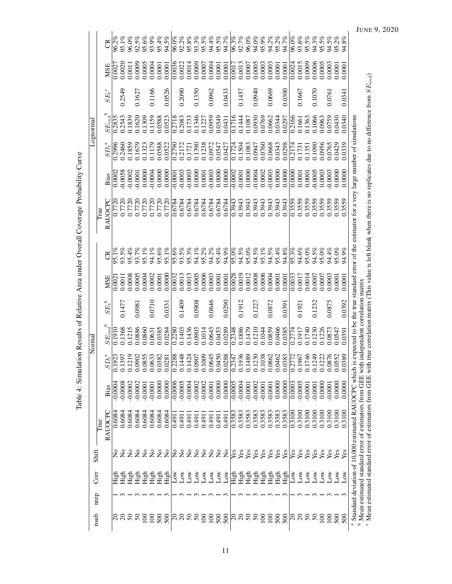<span id="page-10-0"></span>

| :<br>İ               |
|----------------------|
| $\ddot{\phantom{a}}$ |
| l<br>ļ               |
| $\frac{1}{2}$<br>I   |
|                      |
|                      |
| :<br>;<br>;          |
| .<br>'               |
| i                    |
| I<br>.<br>[<br>İ     |

|           |       | E                               | 96.2%     | 95.1%         | 96.0%          | 92.5%                                                               | 95.6%<br>93.9%<br>95.4%        |                |                      | 94.5%                                                                                                    | 96.0%     | 92.2%       | $95.8\%$       | 93.3%                   | $95.5\%$                | 94.4%                   | 95.5%                   | 94.7%                | 96.3%     | 92.7%                   | 96.0%                      | 94.0%        | 95.9%          | 94.2%                 | 95.2%  | 94.7%  | 96.0%              | 93.6%        | 95.5%                      | 94.3%         | 95.5%          | 94.5%            | 95.2%  | $94.8\%$           |                                                                                                                                                |                                                                                                                      |
|-----------|-------|---------------------------------|-----------|---------------|----------------|---------------------------------------------------------------------|--------------------------------|----------------|----------------------|----------------------------------------------------------------------------------------------------------|-----------|-------------|----------------|-------------------------|-------------------------|-------------------------|-------------------------|----------------------|-----------|-------------------------|----------------------------|--------------|----------------|-----------------------|--------|--------|--------------------|--------------|----------------------------|---------------|----------------|------------------|--------|--------------------|------------------------------------------------------------------------------------------------------------------------------------------------|----------------------------------------------------------------------------------------------------------------------|
|           |       | MSE                             | 0.002     | 0.0020        | 0.0011         | 0.0009                                                              | 0.0005                         | 0.0004         |                      | 0.0001                                                                                                   | 0.0036    | 0.0022      | 0.0014         | 0.0009                  | 0.0007                  | 0.0004                  | 0.0001                  | 0.0001               |           | $\frac{0.0017}{0.0013}$ | 0.0007                     | 0.0005       | 0.0003         | 0.0003                | 0.0001 | 0.0001 | 0.0024             | 0.0015       | 0.0009                     | 0.0006        | 0.0005         | 0.0003           | 0.0001 | 0.0001             |                                                                                                                                                |                                                                                                                      |
|           |       | $SE_t^c$                        |           | 0.2549        |                | 0.1627                                                              |                                | 0.1166         |                      | 0.0526                                                                                                   |           | 0.2090      |                | 0.1350                  |                         | 0.0962                  |                         | 0.0433               |           | 0.1457                  |                            | 0.0940       |                | 0.0669                |        | 0.0300 |                    | 0.1667       |                            | 0.1070        |                | 0.0761           |        | 0.0341             |                                                                                                                                                |                                                                                                                      |
| Lognormal |       | $SE_{ind}$                      | 0.2835    | 0.2543        | 0.1839         |                                                                     |                                |                |                      | $\begin{array}{l} 0.1620 \\ 0.1309 \\ 0.1159 \\ 0.0588 \\ 0.0523 \\ \hline 0.2718 \\ 0.2083 \end{array}$ |           |             | 0.1733         | 0.1346                  | 0.1227                  |                         | 0.0959<br>0.0549        | 0.0431               |           |                         | 0.1716<br>0.1444<br>0.1087 | 0.0930       | 0.0769         | 0.0662                | 0.0344 | 0.0297 | 0.2166             |              | 0.1661<br>0.1363<br>0.1066 |               | 0.0963         | 0.0759           | 0.0430 | 0.0340             |                                                                                                                                                |                                                                                                                      |
|           |       | $SD_t^a$                        | 0.2996    | 0.2460        | 0.1859         | $\begin{array}{c} 0.1679 \\ 0.1323 \\ 0.1179 \\ 0.0588 \end{array}$ |                                |                |                      | 0.0522                                                                                                   | 0.2790    | 0.2172      | 0.1721         | 0.1390                  | 0.1238                  |                         | 0.0972<br>0.0547        | 0.0427               |           |                         | 0.1724<br>0.1504<br>0.1083 | 0.0947       | 0.0760         | 0.0668                | 0.0343 | 0.0298 | 0.2174             |              | 0.1731<br>0.1351           | 0.1090        | 0.0956         | 0.0765           | 0.0429 | 0.0339             |                                                                                                                                                |                                                                                                                      |
|           |       | Bias                            | 0.0002    | $-0.0058$     | $-0.0002$      | $-0.0001$<br>$0.0000$                                               |                                | $-0.0004$      |                      | 0.0000                                                                                                   | $-0.0001$ | $-0.0003$   | $-0.0003$      | 0.0000                  | 0.0001                  |                         | $-0.0003$<br>0.0000     | 0.0000               | $-0.0002$ |                         | $-0.0001$<br>$0.0000$      | $-0.0004$    | 0.0002         | $-0.0003$             | 0.0000 | 0.0000 | $\frac{0.0000}{2}$ | 0.0001       | 0.0001                     | $-0.0005$     | 0.0003         | 0.0003           | 0.0000 | 0.0000             |                                                                                                                                                |                                                                                                                      |
|           | True  | RAUOCPC                         |           | 0.7720        | 0.7720         | 0.7720                                                              | 0.7720                         | 0.7720         | 0.7720               | 0.7720                                                                                                   | 0.6784    | 0.6784      | 0.6784         | 0.6784                  | 0.6784                  | 0.6784                  | 0.6784                  | 0.6784               | 0.3943    | 0.3943                  | 0.3943                     | 0.3943       | 0.3943         | 0.3943                | 0.3943 | 0.3943 | 0.3559             | 0.3559       | 0.3559                     | 0.3559        | 0.3559         | 0.3559           | 0.3559 | 0.3559             | expected to be the true standard error of the estimator for a very large number of simulations                                                 | true correlation matrix (This value is left blank when there is no replicates due to no difference from $SE_{ind}$ ) |
|           |       | E                               | 95.1%     | 93.5%         | 95.4%          | 93.7%                                                               | 95.1%                          | 94.1%          | 95.6%                | 95.1%                                                                                                    | 95.6%     | 93.5%       | 95.3%          | 94.1%                   | 95.2%                   | 94.2%                   | 95.4%                   | 94.9%                | 95.0%     | 94.5%                   | 95.0%                      | 94.5%        | 95.1%          | 94.5%                 | 95.4%  | 94.8%  | 95.3%              | 94.6%        | 95.0%                      | 94.5%         | 95.0%          | 94.4%            | 95.0%  | 94.9%              |                                                                                                                                                |                                                                                                                      |
|           |       | MSE                             | 0.002     | 0.0011        | 0.0008         | 0.0005                                                              | 0.0004                         | 0.0002         | 0.0001               | 0.0000                                                                                                   | 0.0032    | 0.0013      | 0.0013         | 0.0005                  | 0.0006                  | 0.0003                  | 0.0001                  | 0.0001               | 0.0028    | 0.0019                  | 0.0012                     | 0.0008       | 0.0006         | 0.0004                | 0.0001 | 0.0001 | 0.0033             | 0.0017       | 0.0014                     | 0.0007        | 0.0007         | 0.0003           | 0.0001 | 0.0001             |                                                                                                                                                |                                                                                                                      |
|           |       | $SE_t$ <sup>b</sup>             |           | 0.1477        |                | 0.0981                                                              |                                | 0.0710         |                      | 0.0331                                                                                                   |           | 0.1409      |                | 0.0908                  |                         | 0.0646                  |                         | 0.0290               |           | 0.1912                  |                            | 0.1227       |                | 0.0872                |        | 0.0391 |                    | 0.1921       |                            | 0.1232        |                | 0.0875           |        | 0.0392             |                                                                                                                                                |                                                                                                                      |
| Normal    |       | $SE_{ind}$                      |           | 0.1368        | 0.1215         | 0.0886                                                              | 0.0860                         | 0.0631         | 0.0385               | 0.0284                                                                                                   | 0.2280    | 0.1403      | 0.1436         | 0.0903                  | 0.1014                  | 0.0643                  | 0.0453                  | 0.0289               | 0.2348    | 0.1886                  | 0.1479                     | 0.1210       | 0.1044         | 0.0859                | 0.0466 | 0.0385 | 0.2774             | 0.1917       | 0.1740                     | 0.1230        | 0.1226         | 0.0873           | 0.0547 | 0.0391             | independent correlation matrix                                                                                                                 |                                                                                                                      |
|           |       | $\frac{3}{25}$<br>$\mathcal{S}$ | 31<br>0   | 0.1397        | 0.1219         | 0.0902                                                              | 0.0855<br>0.0633<br>0.0382     |                |                      | 0.0281                                                                                                   | 0.2288    | 0.1448      | 0.1424         | 0.0907                  | 0.1009                  | 0.0645                  |                         | 0.0450<br>0.0288     | 0.2347    | 0.1936                  | 0.1489                     | 0.1230       | 38<br>0.10     | 0.0862                | 0.0462 | 0.0383 | 0.2772<br>0.1967   |              | 0.1746                     | 0.1249        | 0.1222         | 0.0876<br>0.0552 |        | 389<br>$\rm ^{50}$ |                                                                                                                                                |                                                                                                                      |
|           |       | Bias                            | $-0.0004$ | $-0.0008$     | 0.0002         | $-0.0002$                                                           | $-0.0001$                      | $-0.0001$      | 0.0000               | 0.0000                                                                                                   | $-0.0006$ | $-0.0005$   | $-0.0004$      | $-0.0002$               | $-0.0002$               | $-0.0001$               | 0.0000                  | 0.0000               | $-0.0005$ | $-0.0004$               | $-0.0001$                  | $-0.0002$    | $-0.0001$      | $-0.0001$             | 0.0000 | 0.0000 | 0.0003             | $-0.0005$    | $-0.0001$                  | $-0.0001$     | 0.0000         | $-0.0001$        | 0.0000 | 0.0000             |                                                                                                                                                |                                                                                                                      |
|           | True  | RAUOCPC                         | 0.6084    | 0.6084        | 0.6084         | 0.6084                                                              | 0.6084                         | 0.6084         | 0.6084               | 0.6084                                                                                                   | 164.0     | 0.491       | (16t.0)        | 0.491                   | 0.491                   | 0.491                   | 0.4911                  | 0.4911               | 0.3583    | 0.3583                  | 0.3583                     | 0.3583       | 0.3583         | 0.3583                | 0.3583 | 0.3583 | 0.3100             | 0.3100       | 0.3100                     | 0.3100        | 0.3100         | 0.3100           | 0.3100 | 0.3100             | <sup>a</sup> Standard deviation of 10,000 estimated RAUOCPC which is<br><sup>b</sup> Mean estimated standard error of estimators from GEE with | Mean estimated standard error of estimators from GEE with                                                            |
|           | Shift |                                 | Σ         | $\frac{1}{2}$ | $\overline{a}$ | $\overline{a}$                                                      | $\tilde{z}$                    | $\overline{a}$ | $\tilde{\mathbf{z}}$ | $\overline{a}$                                                                                           | ž         | $\tilde{z}$ | $\overline{a}$ | $\overline{\mathsf{z}}$ | $\overline{\mathsf{z}}$ | $\overline{\mathsf{z}}$ | $\overline{\mathsf{z}}$ | $\tilde{\mathsf{x}}$ | Yes       | Yes                     | Yes                        | Yes          | Yes            | Yes                   | Yes    | Yes    | Yes                | Yes          | Yes                        | Yes           | Yes            | Yes              | Yes    | Yes                |                                                                                                                                                |                                                                                                                      |
|           | Corr  |                                 | ਾਂ<br>ਜੁ  | High          |                | High<br>High                                                        | ្ម<br>អ្នកមិដ្ឋា<br>អ្នកមិដ្ឋា |                |                      | High                                                                                                     | ξ         | ŠΣ          | $_{\rm Low}$   | $_{\rm Low}$            | Δw                      | Δw                      | $_{\text{Low}}$         | $_{\text{Low}}$      |           |                         | 도로 프<br>프랑<br>프랑           |              |                | ੇ<br>ਸ਼ੁੰਬੂ<br>ਸ਼ੁੰਬੂ | High   | High   | ŠΣ                 | $_{\rm low}$ | Š                          | گ             | $_{\rm Low}$   | Δw               | ιŘ,    | گا                 |                                                                                                                                                |                                                                                                                      |
|           | nrep  |                                 |           |               |                |                                                                     |                                |                |                      |                                                                                                          |           |             |                |                         |                         |                         |                         |                      |           |                         |                            |              |                |                       |        |        |                    |              |                            |               |                |                  |        |                    |                                                                                                                                                |                                                                                                                      |
|           | nsub  |                                 |           | ສ ສ ສ ສ       |                |                                                                     | $\overline{5}$                 | $\Xi$          | 500                  | 500                                                                                                      |           | ສ ສ         | 50             |                         | $\overline{\mathrm{S}}$ | $\overline{5}$          | 500                     | 500                  |           | ន $\frac{8}{2}$         | $50\,$                     | $50^{\circ}$ | $\overline{5}$ | $\overline{5}$        | 500    | 500    | ∣ິລິ               |              | $50\,$                     | $\mathcal{S}$ | $\overline{5}$ | $\overline{0}$   | 500    | 500                |                                                                                                                                                |                                                                                                                      |

JUNE 9, 2020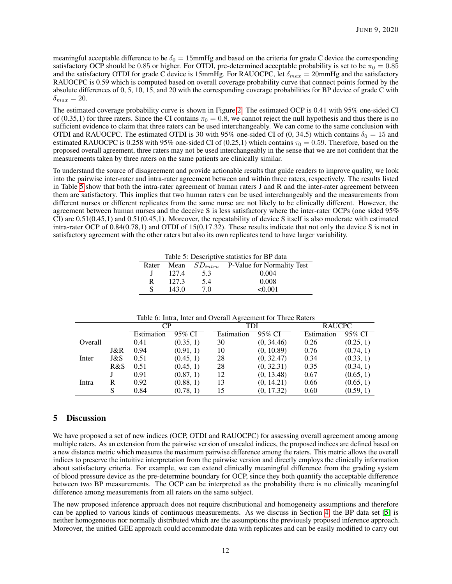meaningful acceptable difference to be  $\delta_0 = 15$ mmHg and based on the criteria for grade C device the corresponding satisfactory OCP should be 0.85 or higher. For OTDI, pre-determined acceptable probability is set to be  $\pi_0 = 0.85$ and the satisfactory OTDI for grade C device is 15mmHg. For RAUOCPC, let  $\delta_{max} = 20$ mmHg and the satisfactory RAUOCPC is 0.59 which is computed based on overall coverage probability curve that connect points formed by the absolute differences of 0, 5, 10, 15, and 20 with the corresponding coverage probabilities for BP device of grade C with  $\delta_{max} = 20.$ 

The estimated coverage probability curve is shown in Figure [2.](#page-12-6) The estimated OCP is 0.41 with 95% one-sided CI of (0.35,1) for three raters. Since the CI contains  $\pi_0 = 0.8$ , we cannot reject the null hypothesis and thus there is no sufficient evidence to claim that three raters can be used interchangeably. We can come to the same conclusion with OTDI and RAUOCPC. The estimated OTDI is 30 with 95% one-sided CI of (0, 34.5) which contains  $\delta_0 = 15$  and estimated RAUOCPC is 0.258 with 95% one-sided CI of (0.25,1) which contains  $\tau_0 = 0.59$ . Therefore, based on the proposed overall agreement, three raters may not be used interchangeably in the sense that we are not confident that the measurements taken by three raters on the same patients are clinically similar.

<span id="page-11-0"></span>To understand the source of disagreement and provide actionable results that guide readers to improve quality, we look into the pairwise inter-rater and intra-rater agreement between and within three raters, respectively. The results listed in Table [5](#page-11-0) show that both the intra-rater agreement of human raters J and R and the inter-rater agreement between them are satisfactory. This implies that two human raters can be used interchangeably and the measurements from different nurses or different replicates from the same nurse are not likely to be clinically different. However, the agreement between human nurses and the deceive S is less satisfactory where the inter-rater OCPs (one sided 95% CI) are 0.51(0.45,1) and 0.51(0.45,1). Moreover, the repeatability of device S itself is also moderate with estimated intra-rater OCP of 0.84(0.78,1) and OTDI of 15(0,17.32). These results indicate that not only the device S is not in satisfactory agreement with the other raters but also its own replicates tend to have larger variability.

Table 5: Descriptive statistics for BP data

| Rater | Mean  | $SD_{intra}$ | P-Value for Normality Test |
|-------|-------|--------------|----------------------------|
|       | 127.4 | 5.3          | 0.004                      |
| R     | 127.3 | 5.4          | 0.008                      |
|       | 143.0 | 7 O          | < 0.001                    |
|       |       |              |                            |

|         |     | CР         |           | TDI        |            | <b>RAUCPC</b> |           |
|---------|-----|------------|-----------|------------|------------|---------------|-----------|
|         |     | Estimation | $95\%$ CI | Estimation | 95% CI     | Estimation    | 95% CI    |
| Overall |     | 0.41       | (0.35, 1) | 30         | (0, 34.46) | 0.26          | (0.25, 1) |
|         | J&R | 0.94       | (0.91, 1) | 10         | (0, 10.89) | 0.76          | (0.74, 1) |
| Inter   | J&S | 0.51       | (0.45, 1) | 28         | (0, 32.47) | 0.34          | (0.33, 1) |
|         | R&S | 0.51       | (0.45, 1) | 28         | (0, 32.31) | 0.35          | (0.34, 1) |
|         |     | 0.91       | (0.87, 1) | 12         | (0, 13.48) | 0.67          | (0.65, 1) |
| Intra   | R   | 0.92       | (0.88, 1) | 13         | (0, 14.21) | 0.66          | (0.65, 1) |
|         |     | 0.84       | (0.78, 1) | 15         | (0, 17.32) | 0.60          | (0.59, 1) |

Table 6: Intra, Inter and Overall Agreement for Three Raters

## 5 Discussion

We have proposed a set of new indices (OCP, OTDI and RAUOCPC) for assessing overall agreement among among multiple raters. As an extension from the pairwise version of unscaled indices, the proposed indices are defined based on a new distance metric which measures the maximum pairwise difference among the raters. This metric allows the overall indices to preserve the intuitive interpretation from the pairwise version and directly employs the clinically information about satisfactory criteria. For example, we can extend clinically meaningful difference from the grading system of blood pressure device as the pre-determine boundary for OCP, since they both quantify the acceptable difference between two BP measurements. The OCP can be interpreted as the probability there is no clinically meaningful difference among measurements from all raters on the same subject.

The new proposed inference approach does not require distributional and homogeneity assumptions and therefore can be applied to various kinds of continuous measurements. As we discuss in Section [4,](#page-7-0) the BP data set [\[5\]](#page-12-4) is neither homogeneous nor normally distributed which are the assumptions the previously proposed inference approach. Moreover, the unified GEE approach could accommodate data with replicates and can be easily modified to carry out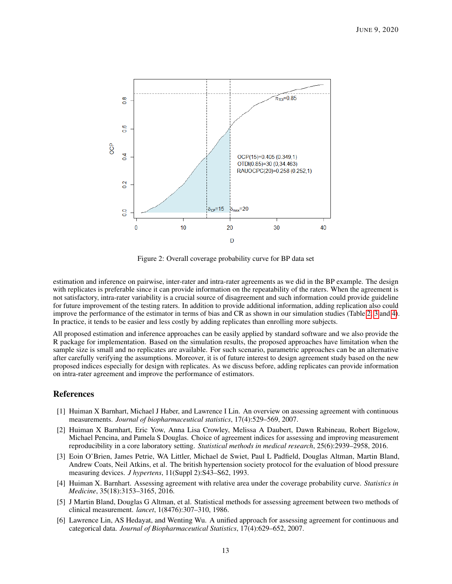<span id="page-12-6"></span>

Figure 2: Overall coverage probability curve for BP data set

estimation and inference on pairwise, inter-rater and intra-rater agreements as we did in the BP example. The design with replicates is preferable since it can provide information on the repeatability of the raters. When the agreement is not satisfactory, intra-rater variability is a crucial source of disagreement and such information could provide guideline for future improvement of the testing raters. In addition to provide additional information, adding replication also could improve the performance of the estimator in terms of bias and CR as shown in our simulation studies (Table [2,](#page-8-0) [3](#page-9-0) and [4\)](#page-10-0). In practice, it tends to be easier and less costly by adding replicates than enrolling more subjects.

All proposed estimation and inference approaches can be easily applied by standard software and we also provide the R package for implementation. Based on the simulation results, the proposed approaches have limitation when the sample size is small and no replicates are available. For such scenario, parametric approaches can be an alternative after carefully verifying the assumptions. Moreover, it is of future interest to design agreement study based on the new proposed indices especially for design with replicates. As we discuss before, adding replicates can provide information on intra-rater agreement and improve the performance of estimators.

## References

- <span id="page-12-0"></span>[1] Huiman X Barnhart, Michael J Haber, and Lawrence I Lin. An overview on assessing agreement with continuous measurements. *Journal of biopharmaceutical statistics*, 17(4):529–569, 2007.
- <span id="page-12-1"></span>[2] Huiman X Barnhart, Eric Yow, Anna Lisa Crowley, Melissa A Daubert, Dawn Rabineau, Robert Bigelow, Michael Pencina, and Pamela S Douglas. Choice of agreement indices for assessing and improving measurement reproducibility in a core laboratory setting. *Statistical methods in medical research*, 25(6):2939–2958, 2016.
- <span id="page-12-2"></span>[3] Eoin O'Brien, James Petrie, WA Littler, Michael de Swiet, Paul L Padfield, Douglas Altman, Martin Bland, Andrew Coats, Neil Atkins, et al. The british hypertension society protocol for the evaluation of blood pressure measuring devices. *J hypertens*, 11(Suppl 2):S43–S62, 1993.
- <span id="page-12-3"></span>[4] Huiman X. Barnhart. Assessing agreement with relative area under the coverage probability curve. *Statistics in Medicine*, 35(18):3153–3165, 2016.
- <span id="page-12-4"></span>[5] J Martin Bland, Douglas G Altman, et al. Statistical methods for assessing agreement between two methods of clinical measurement. *lancet*, 1(8476):307–310, 1986.
- <span id="page-12-5"></span>[6] Lawrence Lin, AS Hedayat, and Wenting Wu. A unified approach for assessing agreement for continuous and categorical data. *Journal of Biopharmaceutical Statistics*, 17(4):629–652, 2007.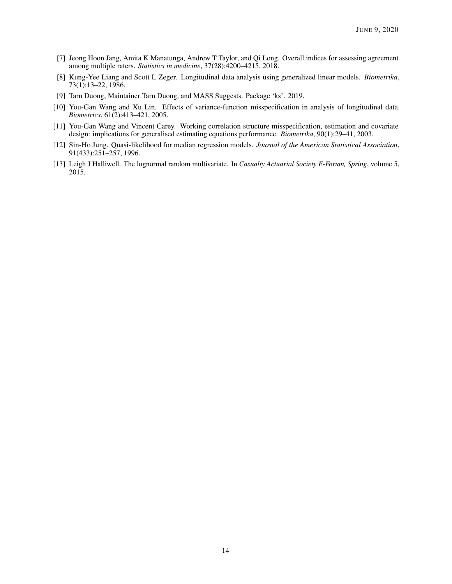- <span id="page-13-0"></span>[7] Jeong Hoon Jang, Amita K Manatunga, Andrew T Taylor, and Qi Long. Overall indices for assessing agreement among multiple raters. *Statistics in medicine*, 37(28):4200–4215, 2018.
- <span id="page-13-1"></span>[8] Kung-Yee Liang and Scott L Zeger. Longitudinal data analysis using generalized linear models. *Biometrika*, 73(1):13–22, 1986.
- <span id="page-13-2"></span>[9] Tarn Duong, Maintainer Tarn Duong, and MASS Suggests. Package 'ks'. 2019.
- <span id="page-13-3"></span>[10] You-Gan Wang and Xu Lin. Effects of variance-function misspecification in analysis of longitudinal data. *Biometrics*, 61(2):413–421, 2005.
- <span id="page-13-4"></span>[11] You-Gan Wang and Vincent Carey. Working correlation structure misspecification, estimation and covariate design: implications for generalised estimating equations performance. *Biometrika*, 90(1):29–41, 2003.
- <span id="page-13-5"></span>[12] Sin-Ho Jung. Quasi-likelihood for median regression models. *Journal of the American Statistical Association*, 91(433):251–257, 1996.
- <span id="page-13-6"></span>[13] Leigh J Halliwell. The lognormal random multivariate. In *Casualty Actuarial Society E-Forum, Spring*, volume 5, 2015.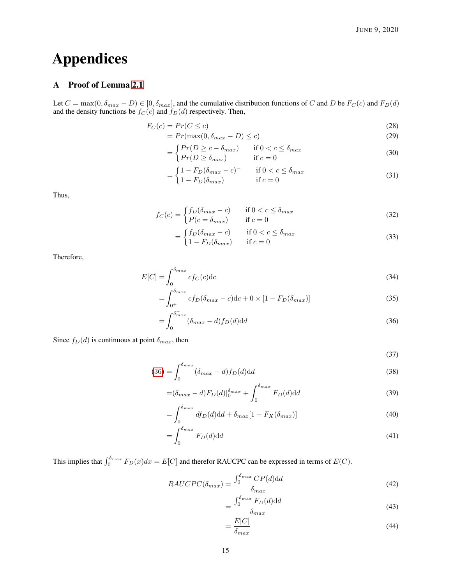# Appendices

## <span id="page-14-0"></span>A Proof of Lemma [2.1](#page-4-1)

Let  $C = \max(0, \delta_{max} - D) \in [0, \delta_{max}]$ , and the cumulative distribution functions of C and D be  $F_C(c)$  and  $F_D(d)$ and the density functions be  $f_C(c)$  and  $f_D(d)$  respectively. Then,

$$
F_C(c) = Pr(C \le c) \tag{28}
$$

$$
=Pr(\max(0, \delta_{max} - D) \le c)
$$
\n(29)

$$
= \begin{cases} Pr(D \ge c - \delta_{max}) & \text{if } 0 < c \le \delta_{max} \\ Pr(D \ge \delta_{max}) & \text{if } c = 0 \end{cases}
$$
 (30)

$$
= \begin{cases} 1 - F_D(\delta_{max} - c)^{-} & \text{if } 0 < c \le \delta_{max} \\ 1 - F_D(\delta_{max}) & \text{if } c = 0 \end{cases} \tag{31}
$$

Thus,

$$
f_C(c) = \begin{cases} f_D(\delta_{max} - c) & \text{if } 0 < c \le \delta_{max} \\ P(c = \delta_{max}) & \text{if } c = 0 \end{cases}
$$
 (32)

$$
= \begin{cases} f_D(\delta_{max} - c) & \text{if } 0 < c \le \delta_{max} \\ 1 - F_D(\delta_{max}) & \text{if } c = 0 \end{cases} \tag{33}
$$

Therefore,

$$
E[C] = \int_0^{\delta_{max}} cf_C(c) \, \mathrm{d}c \tag{34}
$$

$$
=\int_{0^+}^{\delta_{max}} cf_D(\delta_{max} - c) \mathrm{d}c + 0 \times [1 - F_D(\delta_{max})]
$$
\n(35)

$$
=\int_0^{\delta_{max}^-} (\delta_{max} - d) f_D(d) \mathrm{d}d \tag{36}
$$

Since  $f_D(d)$  is continuous at point  $\delta_{max}$ , then

<span id="page-14-1"></span>(37)

$$
(36) = \int_0^{\delta_{max}} (\delta_{max} - d) f_D(d) \mathrm{d}d \tag{38}
$$

$$
= (\delta_{max} - d) F_D(d) \vert_0^{\delta_{max}} + \int_0^{\delta_{max}} F_D(d) \mathrm{d}d \tag{39}
$$

$$
=\int_0^{\delta_{max}} df_D(d) \mathrm{d}d + \delta_{max}[1 - F_X(\delta_{max})] \tag{40}
$$

$$
=\int_0^{\delta_{max}} F_D(d) \mathrm{d}d\tag{41}
$$

This implies that  $\int_0^{\delta_{max}} F_D(x) dx = E[C]$  and therefor RAUCPC can be expressed in terms of  $E(C)$ .

$$
RAUCPC(\delta_{max}) = \frac{\int_0^{\delta_{max}} CP(d) \mathrm{d}d}{\delta_{max}} \tag{42}
$$

$$
=\frac{\int_0^{\delta_{max}} F_D(d) \mathrm{d}d}{\delta_{max}}\tag{43}
$$

$$
=\frac{E[C]}{\delta_{max}}\tag{44}
$$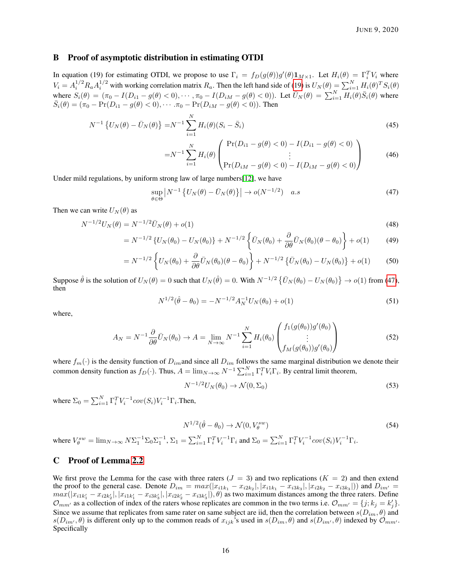## <span id="page-15-0"></span>B Proof of asymptotic distribution in estimating OTDI

In equation (19) for estimating OTDI, we propose to use  $\Gamma_i = f_D(g(\theta))g'(\theta)1_{M\times 1}$ . Let  $H_i(\theta) = \Gamma_i^T V_i$  where  $V_i = A_i^{1/2} R_a A_i^{1/2}$  with working correlation matrix  $R_a$ . Then the left hand side of [\(19\)](#page-5-0) is  $U_N(\theta) = \sum_{i=1}^N H_i(\theta)^T S_i(\theta)$ where  $S_i(\theta) = (\pi_0 - I(D_{i1} - g(\theta) < 0), \dots, \pi_0 - I(D_{iM} - g(\theta) < 0)).$  Let  $\bar{U}_N(\theta) = \sum_{i=1}^N H_i(\theta) \bar{S}_i(\theta)$  where  $\bar{S}_i(\theta) = (\pi_0 - \Pr(D_{i1} - g(\theta) < 0), \cdots, \pi_0 - \Pr(D_{iM} - g(\theta) < 0)).$  Then

$$
N^{-1}\left\{U_N(\theta) - \bar{U}_N(\theta)\right\} = N^{-1}\sum_{i=1}^N H_i(\theta)(S_i - \bar{S}_i)
$$
\n(45)

<span id="page-15-2"></span>
$$
=N^{-1}\sum_{i=1}^{N}H_{i}(\theta)\begin{pmatrix}\Pr(D_{i1}-g(\theta)<0)-I(D_{i1}-g(\theta)<0)\\ \vdots&\vdots\\ \Pr(D_{iM}-g(\theta)<0)-I(D_{iM}-g(\theta)<0)\end{pmatrix}
$$
(46)

Under mild regulations, by uniform strong law of large numbers[\[12\]](#page-13-5), we have

$$
\sup_{\theta \in \Theta} \left| N^{-1} \left\{ U_N(\theta) - \bar{U}_N(\theta) \right\} \right| \to o(N^{-1/2}) \quad a.s \tag{47}
$$

Then we can write  $U_N(\theta)$  as

$$
N^{-1/2}U_N(\theta) = N^{-1/2}\bar{U}_N(\theta) + o(1)
$$
\n(48)

$$
= N^{-1/2} \left\{ U_N(\theta_0) - U_N(\theta_0) \right\} + N^{-1/2} \left\{ \bar{U}_N(\theta_0) + \frac{\partial}{\partial \theta} \bar{U}_N(\theta_0) (\theta - \theta_0) \right\} + o(1) \tag{49}
$$

$$
= N^{-1/2} \left\{ U_N(\theta_0) + \frac{\partial}{\partial \theta} \bar{U}_N(\theta_0) (\theta - \theta_0) \right\} + N^{-1/2} \left\{ \bar{U}_N(\theta_0) - U_N(\theta_0) \right\} + o(1) \tag{50}
$$

Suppose  $\hat{\theta}$  is the solution of  $U_N(\theta) = 0$  such that  $U_N(\hat{\theta}) = 0$ . With  $N^{-1/2} \{ \bar{U}_N(\theta_0) - U_N(\theta_0) \} \to o(1)$  from [\(47\)](#page-15-2), then

$$
N^{1/2}(\hat{\theta} - \theta_0) = -N^{-1/2} A_N^{-1} U_N(\theta_0) + o(1)
$$
\n(51)

where,

$$
A_N = N^{-1} \frac{\partial}{\partial \theta} \bar{U}_N(\theta_0) \to A = \lim_{N \to \infty} N^{-1} \sum_{i=1}^N H_i(\theta_0) \begin{pmatrix} f_1(g(\theta_0))g'(\theta_0) \\ \vdots \\ f_M(g(\theta_0))g'(\theta_0) \end{pmatrix}
$$
(52)

where  $f_m(\cdot)$  is the density function of  $D_{im}$  and since all  $D_{im}$  follows the same marginal distribution we denote their common density function as  $f_D(\cdot)$ . Thus,  $A = \lim_{N \to \infty} N^{-1} \sum_{i=1}^{N} \Gamma_i^T V_i \Gamma_i$ . By central limit theorem,

$$
N^{-1/2}U_N(\theta_0) \to \mathcal{N}(0, \Sigma_0)
$$
\n
$$
(53)
$$

where  $\Sigma_0 = \sum_{i=1}^N \Gamma_i^T V_i^{-1} cov(S_i) V_i^{-1} \Gamma_i$ . Then,

$$
N^{1/2}(\hat{\theta} - \theta_0) \to \mathcal{N}(0, V_\theta^{sw})
$$
\n<sup>(54)</sup>

where  $V_{\theta}^{sw} = \lim_{N \to \infty} N \Sigma_1^{-1} \Sigma_0 \Sigma_1^{-1}$ ,  $\Sigma_1 = \sum_{i=1}^N \Gamma_i^T V_i^{-1} \Gamma_i$  and  $\Sigma_0 = \sum_{i=1}^N \Gamma_i^T V_i^{-1} cov(S_i) V_i^{-1} \Gamma_i$ .

#### <span id="page-15-1"></span>C Proof of Lemma [2.2](#page-5-1)

We first prove the Lemma for the case with three raters  $(J = 3)$  and two replications  $(K = 2)$  and then extend the proof to the general case. Denote  $D_{im} = max(|x_{i1k_1} - x_{i2k_2}|, |x_{i1k_1} - x_{i3k_3}|, |x_{i2k_2} - x_{i3k_3}|)$  and  $D_{im'} =$  $max(|x_{i1k'_1}-x_{i2k'_2}|,|x_{i1k'_1}-x_{i3k'_3}|,|x_{i2k'_2}-x_{i3k'_3}|),\theta)$  as two maximum distances among the three raters. Define  $\mathcal{O}_{mm'}$  as a collection of index of the raters whose replicates are common in the two terms i.e.  $\mathcal{O}_{mm'} = \{j; k_j = k'_j\}.$ Since we assume that replicates from same rater on same subject are iid, then the correlation between  $s(D_{im}, \theta)$  and  $s(D_{im},\theta)$  is different only up to the common reads of  $x_{ijk}$ 's used in  $s(D_{im},\theta)$  and  $s(D_{im'},\theta)$  indexed by  $\mathcal{O}_{mm'}$ . Specifically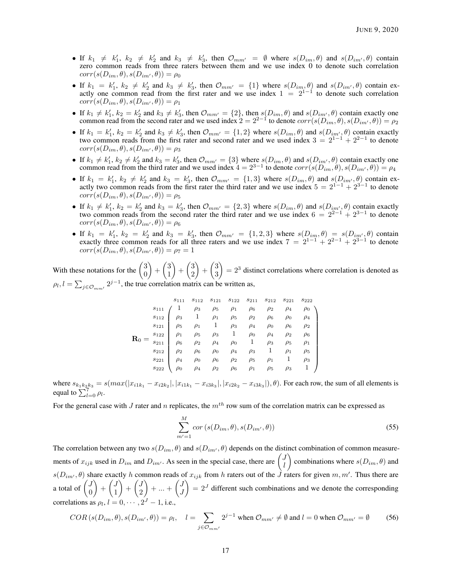- If  $k_1 \neq k'_1$ ,  $k_2 \neq k'_2$  and  $k_3 \neq k'_3$ , then  $\mathcal{O}_{mm'} = \emptyset$  where  $s(D_{im}, \theta)$  and  $s(D_{im'}, \theta)$  contain zero common reads from three raters between them and we use index 0 to denote such correlation  $corr(s(D_{im},\theta), s(D_{im'},\theta)) = \rho_0$
- If  $k_1 = k'_1, k_2 \neq k'_2$  and  $k_3 \neq k'_3$ , then  $\mathcal{O}_{mm'} = \{1\}$  where  $s(D_{im_j}, \theta)$  and  $s(D_{im'}^{\prime}, \theta)$  contain exactly one common read from the first rater and we use index  $1 = 2^{1-1}$  to denote such correlation  $corr(s(D_{im},\theta), s(D_{im'},\theta)) = \rho_1$
- If  $k_1 \neq k'_1$ ,  $k_2 = k'_2$  and  $k_3 \neq k'_3$ , then  $\mathcal{O}_{mm'} = \{2\}$ , then  $s(D_{im}, \theta)$  and  $s(D_{im'}, \theta)$  contain exactly one common read from the second rater and we used index  $2 = 2^{2-1}$  to denote  $corr(s(D_{im}, \theta), s(D_{im'}, \theta)) = \rho_2$
- If  $k_1 = k'_1$ ,  $k_2 = k'_2$  and  $k_3 \neq k'_3$ , then  $\mathcal{O}_{mm'} = \{1, 2\}$  where  $s(D_{im}, \theta)$  and  $s(D_{im'} , \theta)$  contain exactly two common reads from the first rater and second rater and we used index  $3 = 2^{1-1} + 2^{2-1}$  to denote  $corr(s(D_{im},\theta), s(D_{im'},\theta)) = \rho_3$
- If  $k_1 \neq k'_1$ ,  $k_2 \neq k'_2$  and  $k_3 = k'_3$ , then  $\mathcal{O}_{mm'} = \{3\}$  where  $s(D_{im}, \theta)$  and  $s(D_{im'}, \theta)$  contain exactly one common read from the third rater and we used index  $4 = 2^{3-1}$  to denote  $corr(s(D_{im}, \theta), s(D_{im'}, \theta)) = \rho_4$
- If  $k_1 = k'_1$ ,  $k_2 \neq k'_2$  and  $k_3 = k'_3$ , then  $\mathcal{O}_{mm'} = \{1,3\}$  where  $s(D_{im}, \theta)$  and  $s(D_{im'}, \theta)$  contain exactly two common reads from the first rater the third rater and we use index  $5 = 2^{1-1} + 2^{3-1}$  to denote  $corr(s(D_{im},\theta), s(D_{im'},\theta)) = \rho_5$
- If  $k_1 \neq k'_1$ ,  $k_2 = k'_2$  and  $k_3 = k'_3$ , then  $\mathcal{O}_{mm'} = \{2,3\}$  where  $s(D_{im}, \theta)$  and  $s(D_{im'}, \theta)$  contain exactly two common reads from the second rater the third rater and we use index  $6 = 2^{2-1} + 2^{3-1}$  to denote  $corr(s(D_{im},\theta), s(D_{im'},\theta)) = \rho_6$
- If  $k_1 = k'_1$ ,  $k_2 = k'_2$  and  $k_3 = k'_3$ , then  $\mathcal{O}_{mm'} = \{1,2,3\}$  where  $s(D_{im},\theta) = s(D_{im'},\theta)$  contain exactly three common reads for all three raters and we use index  $7 = 2^{1-1} + 2^{2-1} + 2^{3-1}$  to denote  $corr(s(D_{im},\theta), s(D_{im'},\theta)) = \rho_7 = 1$

With these notations for the  $\begin{pmatrix} 3 \\ 0 \end{pmatrix}$ 0  $+ \binom{3}{1}$ 1  $+\binom{3}{2}$ 2  $+\binom{3}{3}$ 3  $= 2<sup>3</sup>$  distinct correlations where correlation is denoted as  $\rho_l$ ,  $l = \sum_{j \in \mathcal{O}_{mm'}} 2^{j-1}$ , the true correlation matrix can be written as,

|  | $s_{111}$ |  |  |  | $s_{112}$ $s_{121}$ $s_{122}$ $s_{211}$ $s_{212}$ $s_{221}$ $s_{222}$ |
|--|-----------|--|--|--|-----------------------------------------------------------------------|
|  |           |  |  |  |                                                                       |
|  |           |  |  |  |                                                                       |
|  |           |  |  |  |                                                                       |
|  |           |  |  |  |                                                                       |
|  |           |  |  |  |                                                                       |
|  |           |  |  |  |                                                                       |
|  |           |  |  |  |                                                                       |
|  |           |  |  |  |                                                                       |

where  $s_{k_1k_2k_3} = s(max(|x_{i1k_1} - x_{i2k_2}|, |x_{i1k_1} - x_{i3k_3}|, |x_{i2k_2} - x_{i3k_3}|), \theta)$ . For each row, the sum of all elements is equal to  $\sum_{l=0}^{7} \rho_l$ .

For the general case with J rater and n replicates, the  $m<sup>th</sup>$  row sum of the correlation matrix can be expressed as

$$
\sum_{m'=1}^{M} cor\left(s(D_{im}, \theta), s(D_{im'}, \theta)\right)
$$
\n(55)

The correlation between any two  $s(D_{im}, \theta)$  and  $s(D_{im}, \theta)$  depends on the distinct combination of common measurements of  $x_{ijk}$  used in  $D_{im}$  and  $D_{im'}$ . As seen in the special case, there are  $\begin{pmatrix} J \\ J \end{pmatrix}$ l combinations where  $s(D_{im}, \theta)$  and  $s(D_{im}, \theta)$  share exactly h common reads of  $x_{ijk}$  from h raters out of the  $\tilde{J}$  raters for given  $m, m'$ . Thus there are a total of  $\begin{pmatrix} J \\ 0 \end{pmatrix}$ 0  $\Big\} + \Big\{ \frac{J}{1}$ 1  $\Big\} + \Big\{ \frac{J}{2}$ 2  $+ ... + \left(\frac{J}{l}\right)$ J  $= 2<sup>J</sup>$  different such combinations and we denote the corresponding correlations as  $\rho_l$ ,  $l = 0, \dots, 2^J - 1$ , i.e.,

$$
COR(s(D_{im}, \theta), s(D_{im'}, \theta)) = \rho_l, \quad l = \sum_{j \in \mathcal{O}_{mm'}} 2^{j-1} \text{ when } \mathcal{O}_{mm'} \neq \emptyset \text{ and } l = 0 \text{ when } \mathcal{O}_{mm'} = \emptyset \tag{56}
$$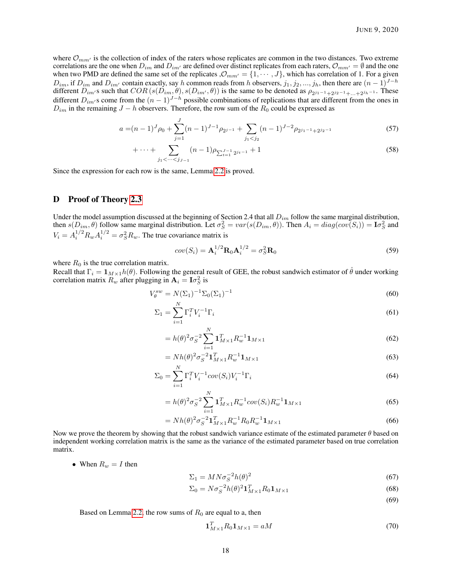where  $\mathcal{O}_{mm'}$  is the collection of index of the raters whose replicates are common in the two distances. Two extreme correlations are the one when  $D_{im}$  and  $D_{im'}$  are defined over distinct replicates from each raters,  $\mathcal{O}_{mm'} = \emptyset$  and the one when two PMD are defined the same set of the replicates  $\mathcal{O}_{mm'} = \{1, \cdots, J\}$ , which has correlation of 1. For a given  $D_{im}$ , if  $D_{im}$  and  $D_{im'}$  contain exactly, say h common reads from h observers,  $j_1, j_2, ..., j_h$ , then there are  $(n-1)^{J-h}$ different  $D_{im}$ 's such that  $COR(s(D_{im}, \theta), s(D_{im'}, \theta))$  is the same to be denoted as  $\rho_{2^{j_1-1}+2^{j_2-1}+\ldots+2^{j_h-1}}$ . These different  $D_{im}$ 's come from the  $(n - 1)^{J-h}$  possible combinations of replications that are different from the ones in  $D_{im}$  in the remaining  $J - h$  observers. Therefore, the row sum of the  $R_0$  could be expressed as

$$
a = (n-1)^J \rho_0 + \sum_{j=1}^J (n-1)^{J-1} \rho_{2^{j-1}} + \sum_{j_1 < j_2} (n-1)^{J-2} \rho_{2^{j_1-1}+2^{j_2-1}} \tag{57}
$$

$$
+\cdots+\sum_{j_1 < \cdots < j_{J-1}} (n-1)\rho_{\sum_{t=1}^{J-1} 2^{j_t-1}} + 1\tag{58}
$$

Since the expression for each row is the same, Lemma [2.2](#page-5-1) is proved.

#### <span id="page-17-0"></span>D Proof of Theory [2.3](#page-5-5)

Under the model assumption discussed at the beginning of Section 2.4 that all  $D_{im}$  follow the same marginal distribution, then  $s(D_{im}, \theta)$  follow same marginal distribution. Let  $\sigma_S^2 = var(s(D_{im}, \theta))$ . Then  $A_i = diag(cov(S_i)) = \mathbf{I}\sigma_S^2$  and  $V_i = A_i^{1/2} R_w A_i^{1/2} = \sigma_S^2 R_w$ . The true covariance matrix is

$$
cov(S_i) = \mathbf{A}_i^{1/2} \mathbf{R}_0 \mathbf{A}_i^{1/2} = \sigma_S^2 \mathbf{R}_0
$$
\n<sup>(59)</sup>

where  $R_0$  is the true correlation matrix.

Recall that  $\Gamma_i = \mathbf{1}_{M \times 1} h(\theta)$ . Following the general result of GEE, the robust sandwich estimator of  $\hat{\theta}$  under working correlation matrix  $R_w$  after plugging in  $\mathbf{A}_i = \mathbf{I}\sigma_S^2$  is

$$
V_{\theta}^{sw} = N(\Sigma_1)^{-1} \Sigma_0 (\Sigma_1)^{-1}
$$
 (60)

$$
\Sigma_1 = \sum_{i=1} \Gamma_i^T V_i^{-1} \Gamma_i \tag{61}
$$

$$
= h(\theta)^2 \sigma_S^{-2} \sum_{i=1}^N \mathbf{1}_{M \times 1}^T R_w^{-1} \mathbf{1}_{M \times 1}
$$
\n(62)

$$
= N h(\theta)^2 \sigma_S^{-2} \mathbf{1}_{M \times 1}^T R_w^{-1} \mathbf{1}_{M \times 1}
$$
\n(63)

$$
\Sigma_0 = \sum_{i=1}^{N} \Gamma_i^T V_i^{-1} cov(S_i) V_i^{-1} \Gamma_i
$$
\n(64)

$$
= h(\theta)^2 \sigma_S^{-2} \sum_{i=1}^N \mathbf{1}_{M \times 1}^T R_w^{-1} cov(S_i) R_w^{-1} \mathbf{1}_{M \times 1}
$$
\n(65)

$$
= N h(\theta)^2 \sigma_S^{-2} \mathbf{1}_{M \times 1}^T R_w^{-1} R_0 R_w^{-1} \mathbf{1}_{M \times 1}
$$
\n(66)

Now we prove the theorem by showing that the robust sandwich variance estimate of the estimated parameter  $\theta$  based on independent working correlation matrix is the same as the variance of the estimated parameter based on true correlation matrix.

• When  $R_w = I$  then

$$
\Sigma_1 = M N \sigma_S^{-2} h(\theta)^2 \tag{67}
$$

$$
\Sigma_0 = N\sigma_S^{-2}h(\theta)^2 \mathbf{1}_{M\times 1}^T R_0 \mathbf{1}_{M\times 1}
$$
\n
$$
\tag{68}
$$

(69)

Based on Lemma [2.2,](#page-5-1) the row sums of  $R_0$  are equal to a, then

$$
\mathbf{1}_{M\times1}^T R_0 \mathbf{1}_{M\times1} = aM\tag{70}
$$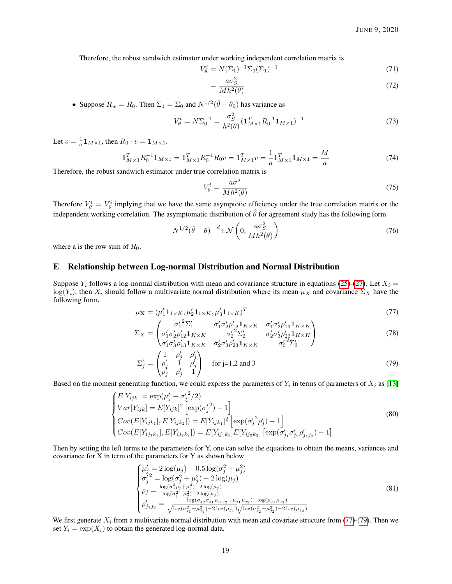Therefore, the robust sandwich estimator under working independent correlation matrix is

$$
V_{\theta}^{i} = N(\Sigma_{1})^{-1} \Sigma_{0} (\Sigma_{1})^{-1}
$$
\n(71)

$$
=\frac{a\sigma_S^2}{Mh^2(\theta)}\tag{72}
$$

• Suppose  $R_w = R_0$ . Then  $\Sigma_1 = \Sigma_0$  and  $N^{1/2}(\hat{\theta} - \theta_0)$  has variance as

$$
V_{\theta}^{t} = N\Sigma_{0}^{-1} = \frac{\sigma_{S}^{2}}{h^{2}(\theta)} (\mathbf{1}_{M\times1}^{T} R_{0}^{-1} \mathbf{1}_{M\times1})^{-1}
$$
(73)

Let  $v = \frac{1}{a} \mathbf{1}_{M \times 1}$ , then  $R_0 \cdot v = \mathbf{1}_{M \times 1}$ .

$$
\mathbf{1}_{M\times1}^T R_0^{-1} \mathbf{1}_{M\times1} = \mathbf{1}_{M\times1}^T R_0^{-1} R_0 v = \mathbf{1}_{M\times1}^T v = \frac{1}{a} \mathbf{1}_{M\times1}^T \mathbf{1}_{M\times1} = \frac{M}{a}
$$
(74)

Therefore, the robust sandwich estimator under true correlation matrix is

<span id="page-18-1"></span>
$$
V_{\theta}^{t} = \frac{a\sigma^2}{Mh^2(\theta)}
$$
\n(75)

Therefore  $V_{\theta}^t = V_{\theta}^i$  implying that we have the same asymptotic efficiency under the true correlation matrix or the independent working correlation. The asymptomatic distribution of  $\hat{\theta}$  for agreement study has the following form

$$
N^{1/2}(\hat{\theta} - \theta) \xrightarrow{d} \mathcal{N}\left(0, \frac{a\sigma_S^2}{Mh^2(\theta)}\right) \tag{76}
$$

where a is the row sum of  $R_0$ .

#### <span id="page-18-0"></span>E Relationship between Log-normal Distribution and Normal Distribution

Suppose  $Y_i$  follows a log-normal distribution with mean and covariance structure in equations [\(25\)](#page-6-3)-[\(27\)](#page-6-4). Let  $X_i =$  $\log(Y_i)$ , then  $X_i$  should follow a multivariate normal distribution where its mean  $\mu_X$  and covariance  $\Sigma_X$  have the following form,

$$
\mu_{\mathbf{X}} = (\mu'_1 \mathbf{1}_{1 \times K}, \mu'_2 \mathbf{1}_{1 \times K}, \mu'_3 \mathbf{1}_{1 \times K})^T
$$
\n(77)

$$
\Sigma_X = \begin{pmatrix}\n\sigma_1^{\prime 2} \Sigma_1^{\prime} & \sigma_1^{\prime} \sigma_2^{\prime} \rho_{12}^{\prime} \mathbf{1}_{K \times K} & \sigma_1^{\prime} \sigma_3^{\prime} \rho_{13}^{\prime} \mathbf{1}_{K \times K} \\
\sigma_1^{\prime} \sigma_2^{\prime} \rho_{12}^{\prime} \mathbf{1}_{K \times K} & \sigma_2^{\prime 2} \Sigma_2^{\prime} & \sigma_2^{\prime} \sigma_3^{\prime} \rho_{23}^{\prime} \mathbf{1}_{K \times K} \\
\sigma_1^{\prime} \sigma_3^{\prime} \rho_{13}^{\prime} \mathbf{1}_{K \times K} & \sigma_2^{\prime} \sigma_3^{\prime} \rho_{23}^{\prime} \mathbf{1}_{K \times K} & \sigma_3^{\prime 2} \Sigma_3^{\prime}\n\end{pmatrix} \n\tag{78}
$$

<span id="page-18-2"></span>
$$
\Sigma_j' = \begin{pmatrix} 1 & \rho_j' & \rho_j' \\ \rho_j' & 1 & \rho_j' \\ \rho_j' & \rho_j' & 1 \end{pmatrix} \text{ for j=1,2 and 3}
$$
 (79)

Based on the moment generating function, we could express the parameters of  $Y_i$  in terms of parameters of  $X_i$  as [\[13\]](#page-13-6)

$$
\begin{cases}\nE[Y_{ijk}] = \exp(\mu'_j + {\sigma'_j}^2/2) \\
Var[Y_{ijk}] = E[Y_{ijk}]^2 \left[\exp(\sigma'_j{}^2) - 1\right] \\
Cov(E[Y_{ijk_1}], E[Y_{ijk_2}]) = E[Y_{ijk_1}]^2 \left[\exp(\sigma'_j{}^2 \rho'_j) - 1\right] \\
Cov(E[Y_{ijk_1}], E[Y_{ijk_2}]) = E[Y_{ijk_1}]E[Y_{ijk_2}] \left[\exp(\sigma'_{jk} \sigma'_{jk} \rho'_{jk}) - 1\right]\n\end{cases} \tag{80}
$$

Then by setting the left terms to the parameters for Y, one can solve the equations to obtain the means, variances and covariance for X in term of the parameters for Y as shown below

$$
\begin{cases}\n\mu'_{j} = 2 \log(\mu_{j}) - 0.5 \log(\sigma_{j}^{2} + \mu_{j}^{2}) \\
\sigma'_{j}^{2} = \log(\sigma_{j}^{2} + \mu_{j}^{2}) - 2 \log(\mu_{j}) \\
\rho_{j} = \frac{\log(\sigma_{j}^{2} \rho_{j} + \mu_{j}^{2}) - 2 \log(\mu_{j})}{\log(\sigma_{j}^{2} + \mu_{j}^{2}) - 2 \log(\mu_{j})} \\
\rho'_{j_{1}j_{2}} = \frac{\log(\sigma_{j_{2}} \sigma_{j_{1}} \rho_{j_{1}j_{2}} + \mu_{j_{1}} \mu_{j_{2}}) - \log(\mu_{j_{1}} \mu_{j_{2}})}{\sqrt{\log(\sigma_{j_{1}}^{2} + \mu_{j_{1}}^{2}) - 2 \log(\mu_{j_{1}})} \sqrt{\log(\sigma_{j_{2}}^{2} + \mu_{j_{2}}^{2}) - 2 \log(\mu_{j_{2}})}}\n\end{cases} (81)
$$

We first generate  $X_i$  from a multivariate normal distribution with mean and covariate structure from [\(77\)](#page-18-1)-[\(79\)](#page-18-2). Then we set  $Y_i = \exp(X_i)$  to obtain the generated log-normal data.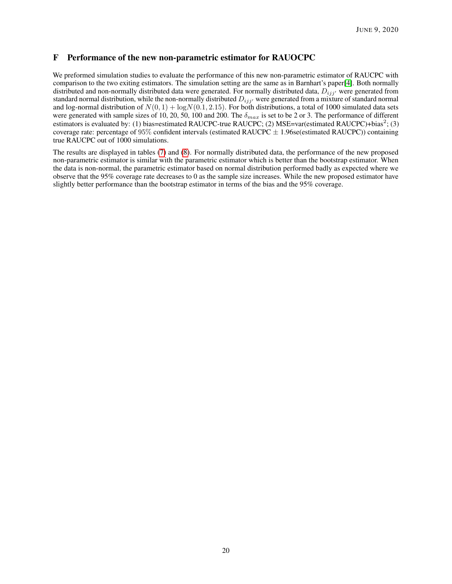## <span id="page-19-0"></span>F Performance of the new non-parametric estimator for RAUOCPC

We preformed simulation studies to evaluate the performance of this new non-parametric estimator of RAUCPC with comparison to the two exiting estimators. The simulation setting are the same as in Barnhart's paper[\[4\]](#page-12-3). Both normally distributed and non-normally distributed data were generated. For normally distributed data,  $D_{ijj'}$  were generated from standard normal distribution, while the non-normally distributed  $D_{ijj'}$  were generated from a mixture of standard normal and log-normal distribution of  $N(0, 1) + logN(0.1, 2.15)$ . For both distributions, a total of 1000 simulated data sets were generated with sample sizes of 10, 20, 50, 100 and 200. The  $\delta_{max}$  is set to be 2 or 3. The performance of different estimators is evaluated by: (1) bias=estimated RAUCPC-true RAUCPC; (2) MSE=var(estimated RAUCPC)+bias<sup>2</sup>; (3) coverage rate: percentage of  $95\%$  confident intervals (estimated RAUCPC  $\pm$  1.96se(estimated RAUCPC)) containing true RAUCPC out of 1000 simulations.

The results are displayed in tables [\(7\)](#page-20-0) and [\(8\)](#page-20-0). For normally distributed data, the performance of the new proposed non-parametric estimator is similar with the parametric estimator which is better than the bootstrap estimator. When the data is non-normal, the parametric estimator based on normal distribution performed badly as expected where we observe that the 95% coverage rate decreases to 0 as the sample size increases. While the new proposed estimator have slightly better performance than the bootstrap estimator in terms of the bias and the 95% coverage.